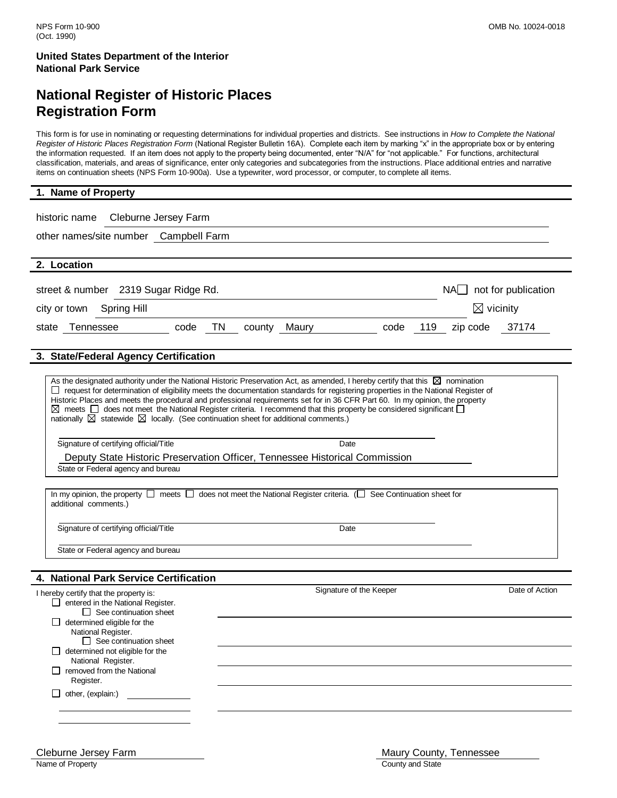### **National Register of Historic Places Registration Form**

This form is for use in nominating or requesting determinations for individual properties and districts. See instructions in *How to Complete the National Register of Historic Places Registration Form* (National Register Bulletin 16A). Complete each item by marking "x" in the appropriate box or by entering the information requested. If an item does not apply to the property being documented, enter "N/A" for "not applicable." For functions, architectural classification, materials, and areas of significance, enter only categories and subcategories from the instructions. Place additional entries and narrative items on continuation sheets (NPS Form 10-900a). Use a typewriter, word processor, or computer, to complete all items.

| 1. Name of Property                                                                                                                                                                                                                                                                                                                                                                                                                                                                                                                                                                                                                                                                                                                                                                                                                                                                                                                                                                                                                                         |
|-------------------------------------------------------------------------------------------------------------------------------------------------------------------------------------------------------------------------------------------------------------------------------------------------------------------------------------------------------------------------------------------------------------------------------------------------------------------------------------------------------------------------------------------------------------------------------------------------------------------------------------------------------------------------------------------------------------------------------------------------------------------------------------------------------------------------------------------------------------------------------------------------------------------------------------------------------------------------------------------------------------------------------------------------------------|
| Cleburne Jersey Farm<br>historic name<br>other names/site number Campbell Farm                                                                                                                                                                                                                                                                                                                                                                                                                                                                                                                                                                                                                                                                                                                                                                                                                                                                                                                                                                              |
| 2. Location                                                                                                                                                                                                                                                                                                                                                                                                                                                                                                                                                                                                                                                                                                                                                                                                                                                                                                                                                                                                                                                 |
| $NA$ not for publication<br>street & number 2319 Sugar Ridge Rd.<br>$\boxtimes$ vicinity<br>Spring Hill<br>city or town<br>TN.<br>state Tennessee<br>code<br>Maury<br>code<br>119<br>37174<br>county<br>zip code                                                                                                                                                                                                                                                                                                                                                                                                                                                                                                                                                                                                                                                                                                                                                                                                                                            |
| 3. State/Federal Agency Certification                                                                                                                                                                                                                                                                                                                                                                                                                                                                                                                                                                                                                                                                                                                                                                                                                                                                                                                                                                                                                       |
| As the designated authority under the National Historic Preservation Act, as amended, I hereby certify that this $\boxtimes$ nomination<br>□ request for determination of eligibility meets the documentation standards for registering properties in the National Register of<br>Historic Places and meets the procedural and professional requirements set for in 36 CFR Part 60. In my opinion, the property<br>$\boxtimes$ meets $\Box$ does not meet the National Register criteria. I recommend that this property be considered significant $\Box$<br>nationally $\boxtimes$ statewide $\boxtimes$ locally. (See continuation sheet for additional comments.)<br>Signature of certifying official/Title<br>Date<br>Deputy State Historic Preservation Officer, Tennessee Historical Commission<br>State or Federal agency and bureau<br>In my opinion, the property $\Box$ meets $\Box$ does not meet the National Register criteria. ( $\Box$ See Continuation sheet for<br>additional comments.)<br>Signature of certifying official/Title<br>Date |
| State or Federal agency and bureau                                                                                                                                                                                                                                                                                                                                                                                                                                                                                                                                                                                                                                                                                                                                                                                                                                                                                                                                                                                                                          |
|                                                                                                                                                                                                                                                                                                                                                                                                                                                                                                                                                                                                                                                                                                                                                                                                                                                                                                                                                                                                                                                             |
| 4. National Park Service Certification                                                                                                                                                                                                                                                                                                                                                                                                                                                                                                                                                                                                                                                                                                                                                                                                                                                                                                                                                                                                                      |
| Signature of the Keeper<br>Date of Action<br>I hereby certify that the property is:<br>$\Box$ entered in the National Register.<br>$\Box$ See continuation sheet<br>$\Box$ determined eligible for the<br>National Register.<br>$\Box$ See continuation sheet<br>$\Box$ determined not eligible for the<br>National Register.<br>$\Box$ removed from the National<br>Register.<br>$\Box$ other, (explain:)                                                                                                                                                                                                                                                                                                                                                                                                                                                                                                                                                                                                                                                  |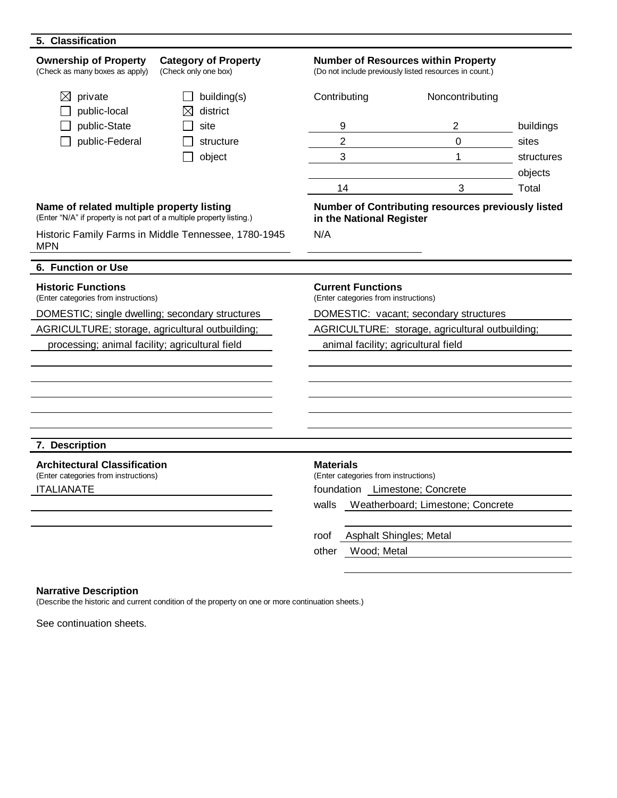| <b>Ownership of Property</b><br>(Check as many boxes as apply)                                                     | <b>Category of Property</b><br>(Check only one box)  | <b>Number of Resources within Property</b><br>(Do not include previously listed resources in count.) |                                                    |                       |  |
|--------------------------------------------------------------------------------------------------------------------|------------------------------------------------------|------------------------------------------------------------------------------------------------------|----------------------------------------------------|-----------------------|--|
| $\boxtimes$ private<br>public-local                                                                                | building(s)<br>district                              | Contributing                                                                                         | Noncontributing                                    |                       |  |
| public-State                                                                                                       | site                                                 | 9                                                                                                    | 2                                                  | buildings             |  |
| public-Federal                                                                                                     | structure                                            | $\overline{2}$                                                                                       | $\overline{0}$                                     | sites                 |  |
|                                                                                                                    | object                                               | $\mathbf{3}$                                                                                         | $\mathbf{1}$                                       | structures<br>objects |  |
|                                                                                                                    |                                                      | 14                                                                                                   | 3                                                  | Total                 |  |
| Name of related multiple property listing<br>(Enter "N/A" if property is not part of a multiple property listing.) |                                                      | in the National Register                                                                             | Number of Contributing resources previously listed |                       |  |
| <b>MPN</b>                                                                                                         | Historic Family Farms in Middle Tennessee, 1780-1945 | N/A                                                                                                  |                                                    |                       |  |
| 6. Function or Use                                                                                                 |                                                      |                                                                                                      |                                                    |                       |  |
| <b>Historic Functions</b><br>(Enter categories from instructions)                                                  |                                                      | <b>Current Functions</b><br>(Enter categories from instructions)                                     |                                                    |                       |  |
| DOMESTIC; single dwelling; secondary structures                                                                    |                                                      | DOMESTIC: vacant; secondary structures                                                               |                                                    |                       |  |
| AGRICULTURE; storage, agricultural outbuilding;                                                                    |                                                      | AGRICULTURE: storage, agricultural outbuilding;                                                      |                                                    |                       |  |
| processing; animal facility; agricultural field<br>animal facility; agricultural field                             |                                                      |                                                                                                      |                                                    |                       |  |
|                                                                                                                    |                                                      |                                                                                                      |                                                    |                       |  |
| 7. Description                                                                                                     |                                                      |                                                                                                      |                                                    |                       |  |
|                                                                                                                    |                                                      |                                                                                                      |                                                    |                       |  |
| <b>Architectural Classification</b><br>(Enter categories from instructions)                                        |                                                      | <b>Materials</b><br>(Enter categories from instructions)                                             |                                                    |                       |  |
| <b>ITALIANATE</b>                                                                                                  |                                                      | foundation Limestone; Concrete                                                                       |                                                    |                       |  |
|                                                                                                                    |                                                      | walls                                                                                                | Weatherboard; Limestone; Concrete                  |                       |  |
|                                                                                                                    |                                                      | roof                                                                                                 | Asphalt Shingles; Metal                            |                       |  |
|                                                                                                                    |                                                      | Wood; Metal<br>other                                                                                 |                                                    |                       |  |

### **Narrative Description**

(Describe the historic and current condition of the property on one or more continuation sheets.)

See continuation sheets.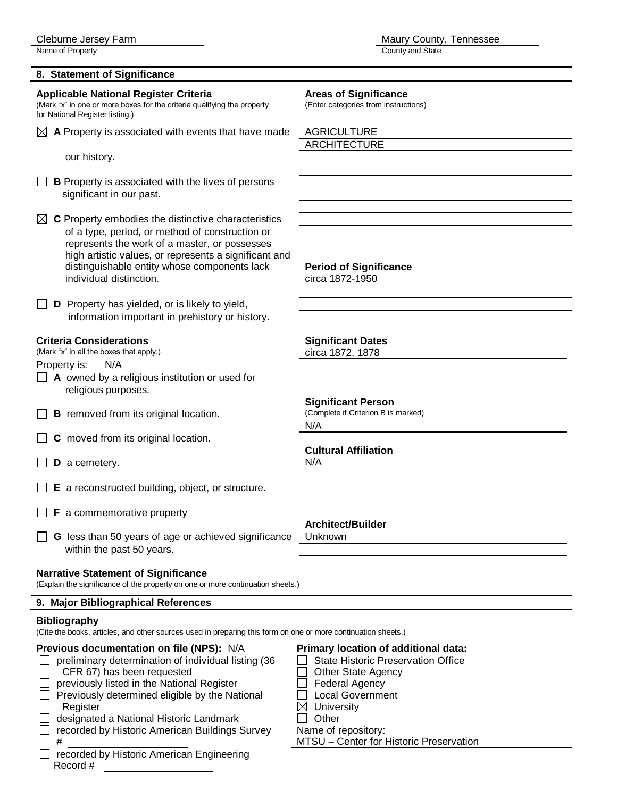Name of Property County and State

### **8. Statement of Significance**

### **Applicable National Register Criteria Areas of Significance** *Mexision Conduct Significance (Mark "x" in one or more boxes for the criteria qualifying the property (Enter categories from instructions)*

(Mark "x" in one or more boxes for the criteria qualifying the property for National Register listing.)

 $\boxtimes$  A Property is associated with events that have made AGRICULTURE

our history.

- **B** Property is associated with the lives of persons significant in our past.
- $\boxtimes$  **C** Property embodies the distinctive characteristics of a type, period, or method of construction or represents the work of a master, or possesses high artistic values, or represents a significant and distinguishable entity whose components lack **Period of Significance** individual distinction. Circa 1872-1950

**D** Property has yielded, or is likely to yield, information important in prehistory or history.

### **Criteria Considerations Significant Dates**

(Mark "x" in all the boxes that apply.) circa 1872, 1878

Property is: N/A

- **A** owned by a religious institution or used for religious purposes.
- $\Box$  **B** removed from its original location.
- **C** moved from its original location.
- **D** a cemetery. N/A
- **E** a reconstructed building, object, or structure.
- **F** a commemorative property
- **G** less than 50 years of age or achieved significance Unknown within the past 50 years.

### **Narrative Statement of Significance**

(Explain the significance of the property on one or more continuation sheets.)

#### **9. Major Bibliographical References**

#### **Bibliography**

(Cite the books, articles, and other sources used in preparing this form on one or more continuation sheets.)

#### **Previous documentation on file (NPS):** N/A **Primary location of additional data:**

- $\Box$  preliminary determination of individual listing (36  $\Box$  State Historic Preservation Office
- CFR 67) has been requested **Definition** Other State Agency
- previously listed in the National Register  $\Box$  Federal Agency  $\Box$  Previously determined eligible by the National  $\Box$  Local Government
- Register  $\boxtimes$  University
- designated a National Historic Landmark  $\Box$  Other
- $\Box$  recorded by Historic American Buildings Survey Name of repository: # MTSU – Center for Historic Preservation
- recorded by Historic American Engineering Record #

ARCHITECTURE

**Significant Person**<br>(Complete if Criterion B is marked)

N/A

### **Cultural Affiliation**

### **Architect/Builder**

- 
- 
- 
- 
- 
-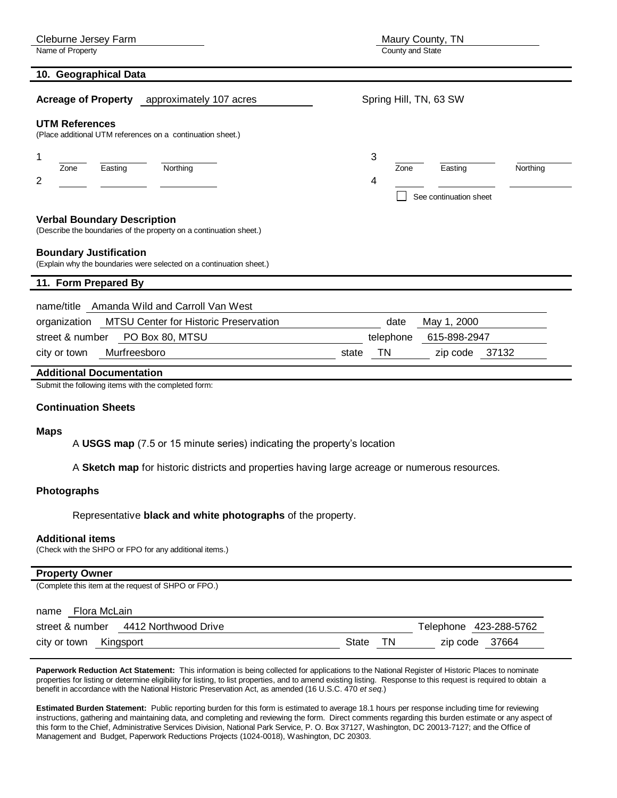| Cleburne Jersey Farm                                                                                     | Maury County, TN                        |
|----------------------------------------------------------------------------------------------------------|-----------------------------------------|
| Name of Property                                                                                         | County and State                        |
| 10. Geographical Data                                                                                    |                                         |
| approximately 107 acres<br><b>Acreage of Property</b>                                                    | Spring Hill, TN, 63 SW                  |
| <b>UTM References</b><br>(Place additional UTM references on a continuation sheet.)                      |                                         |
| 1                                                                                                        | 3                                       |
| Northing<br>Easting<br>Zone                                                                              | Easting<br>Northing<br>Zone             |
| 2                                                                                                        | 4                                       |
|                                                                                                          | See continuation sheet                  |
| <b>Verbal Boundary Description</b><br>(Describe the boundaries of the property on a continuation sheet.) |                                         |
| <b>Boundary Justification</b><br>(Explain why the boundaries were selected on a continuation sheet.)     |                                         |
| 11. Form Prepared By                                                                                     |                                         |
| Amanda Wild and Carroll Van West<br>name/title                                                           |                                         |
| MTSU Center for Historic Preservation<br>organization                                                    | date<br>May 1, 2000                     |
| PO Box 80, MTSU<br>street & number                                                                       | 615-898-2947<br>telephone               |
| Murfreesboro<br>city or town                                                                             | <b>TN</b><br>37132<br>state<br>zip code |
| <b>Additional Documentation</b>                                                                          |                                         |

Submit the following items with the completed form:

#### **Continuation Sheets**

#### **Maps**

A **USGS map** (7.5 or 15 minute series) indicating the property's location

A **Sketch map** for historic districts and properties having large acreage or numerous resources.

#### **Photographs**

Representative **black and white photographs** of the property.

#### **Additional items**

(Check with the SHPO or FPO for any additional items.)

#### **Property Owner**

(Complete this item at the request of SHPO or FPO.)

| Flora McLain<br>name                 |       |     |                        |  |
|--------------------------------------|-------|-----|------------------------|--|
| street & number 4412 Northwood Drive |       |     | Telephone 423-288-5762 |  |
| city or town<br>Kingsport            | State | TN. | zip code 37664         |  |

**Paperwork Reduction Act Statement:** This information is being collected for applications to the National Register of Historic Places to nominate properties for listing or determine eligibility for listing, to list properties, and to amend existing listing. Response to this request is required to obtain a benefit in accordance with the National Historic Preservation Act, as amended (16 U.S.C. 470 *et seq.*)

**Estimated Burden Statement:** Public reporting burden for this form is estimated to average 18.1 hours per response including time for reviewing instructions, gathering and maintaining data, and completing and reviewing the form. Direct comments regarding this burden estimate or any aspect of this form to the Chief, Administrative Services Division, National Park Service, P. O. Box 37127, Washington, DC 20013-7127; and the Office of Management and Budget, Paperwork Reductions Projects (1024-0018), Washington, DC 20303.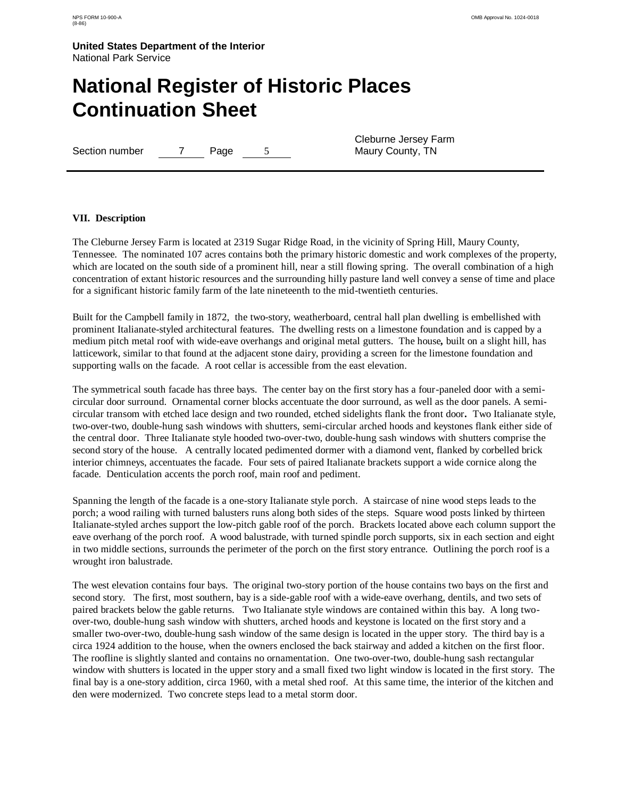### **National Register of Historic Places Continuation Sheet**

Section number 7 Page 5

Cleburne Jersey Farm Maury County, TN

#### **VII. Description**

The Cleburne Jersey Farm is located at 2319 Sugar Ridge Road, in the vicinity of Spring Hill, Maury County, Tennessee. The nominated 107 acres contains both the primary historic domestic and work complexes of the property, which are located on the south side of a prominent hill, near a still flowing spring. The overall combination of a high concentration of extant historic resources and the surrounding hilly pasture land well convey a sense of time and place for a significant historic family farm of the late nineteenth to the mid-twentieth centuries.

Built for the Campbell family in 1872, the two-story, weatherboard, central hall plan dwelling is embellished with prominent Italianate-styled architectural features. The dwelling rests on a limestone foundation and is capped by a medium pitch metal roof with wide-eave overhangs and original metal gutters. The house*,* built on a slight hill, has latticework, similar to that found at the adjacent stone dairy, providing a screen for the limestone foundation and supporting walls on the facade. A root cellar is accessible from the east elevation.

The symmetrical south facade has three bays. The center bay on the first story has a four-paneled door with a semicircular door surround. Ornamental corner blocks accentuate the door surround, as well as the door panels. A semicircular transom with etched lace design and two rounded, etched sidelights flank the front door*.* Two Italianate style, two-over-two, double-hung sash windows with shutters, semi-circular arched hoods and keystones flank either side of the central door. Three Italianate style hooded two-over-two, double-hung sash windows with shutters comprise the second story of the house. A centrally located pedimented dormer with a diamond vent, flanked by corbelled brick interior chimneys, accentuates the facade. Four sets of paired Italianate brackets support a wide cornice along the facade. Denticulation accents the porch roof, main roof and pediment.

Spanning the length of the facade is a one-story Italianate style porch. A staircase of nine wood steps leads to the porch; a wood railing with turned balusters runs along both sides of the steps. Square wood posts linked by thirteen Italianate-styled arches support the low-pitch gable roof of the porch. Brackets located above each column support the eave overhang of the porch roof. A wood balustrade, with turned spindle porch supports, six in each section and eight in two middle sections, surrounds the perimeter of the porch on the first story entrance. Outlining the porch roof is a wrought iron balustrade.

The west elevation contains four bays. The original two-story portion of the house contains two bays on the first and second story. The first, most southern, bay is a side-gable roof with a wide-eave overhang, dentils, and two sets of paired brackets below the gable returns. Two Italianate style windows are contained within this bay. A long twoover-two, double-hung sash window with shutters, arched hoods and keystone is located on the first story and a smaller two-over-two, double-hung sash window of the same design is located in the upper story. The third bay is a circa 1924 addition to the house, when the owners enclosed the back stairway and added a kitchen on the first floor. The roofline is slightly slanted and contains no ornamentation. One two-over-two, double-hung sash rectangular window with shutters is located in the upper story and a small fixed two light window is located in the first story. The final bay is a one-story addition, circa 1960, with a metal shed roof. At this same time, the interior of the kitchen and den were modernized. Two concrete steps lead to a metal storm door.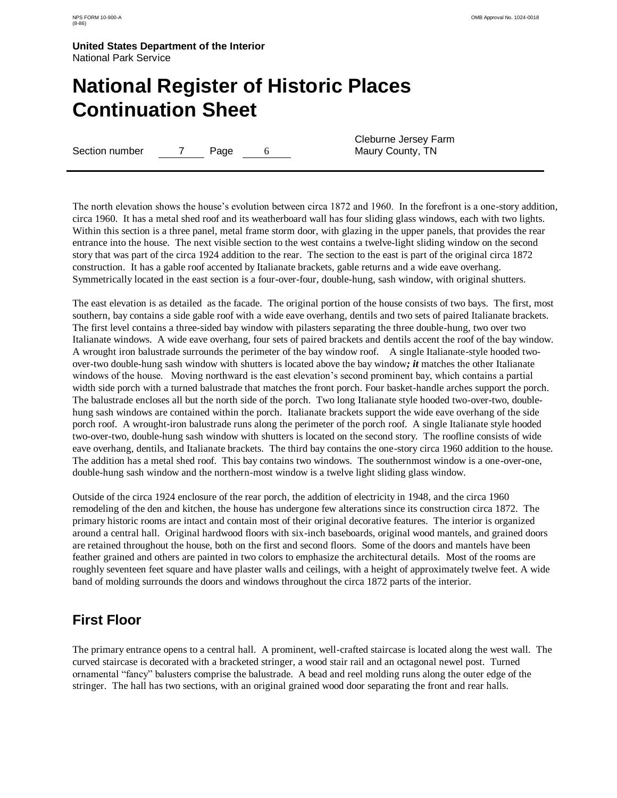### **National Register of Historic Places Continuation Sheet**

Section number 7 Page 6

Cleburne Jersey Farm Maury County, TN

The north elevation shows the house"s evolution between circa 1872 and 1960. In the forefront is a one-story addition, circa 1960. It has a metal shed roof and its weatherboard wall has four sliding glass windows, each with two lights. Within this section is a three panel, metal frame storm door, with glazing in the upper panels, that provides the rear entrance into the house. The next visible section to the west contains a twelve-light sliding window on the second story that was part of the circa 1924 addition to the rear. The section to the east is part of the original circa 1872 construction. It has a gable roof accented by Italianate brackets, gable returns and a wide eave overhang. Symmetrically located in the east section is a four-over-four, double-hung, sash window, with original shutters.

The east elevation is as detailed as the facade. The original portion of the house consists of two bays. The first, most southern, bay contains a side gable roof with a wide eave overhang, dentils and two sets of paired Italianate brackets. The first level contains a three-sided bay window with pilasters separating the three double-hung, two over two Italianate windows. A wide eave overhang, four sets of paired brackets and dentils accent the roof of the bay window. A wrought iron balustrade surrounds the perimeter of the bay window roof. A single Italianate-style hooded twoover-two double-hung sash window with shutters is located above the bay window*; it* matches the other Italianate windows of the house. Moving northward is the east elevation's second prominent bay, which contains a partial width side porch with a turned balustrade that matches the front porch. Four basket-handle arches support the porch. The balustrade encloses all but the north side of the porch. Two long Italianate style hooded two-over-two, doublehung sash windows are contained within the porch. Italianate brackets support the wide eave overhang of the side porch roof. A wrought-iron balustrade runs along the perimeter of the porch roof. A single Italianate style hooded two-over-two, double-hung sash window with shutters is located on the second story. The roofline consists of wide eave overhang, dentils, and Italianate brackets. The third bay contains the one-story circa 1960 addition to the house. The addition has a metal shed roof. This bay contains two windows. The southernmost window is a one-over-one, double-hung sash window and the northern-most window is a twelve light sliding glass window.

Outside of the circa 1924 enclosure of the rear porch, the addition of electricity in 1948, and the circa 1960 remodeling of the den and kitchen, the house has undergone few alterations since its construction circa 1872. The primary historic rooms are intact and contain most of their original decorative features. The interior is organized around a central hall. Original hardwood floors with six-inch baseboards, original wood mantels, and grained doors are retained throughout the house, both on the first and second floors. Some of the doors and mantels have been feather grained and others are painted in two colors to emphasize the architectural details. Most of the rooms are roughly seventeen feet square and have plaster walls and ceilings, with a height of approximately twelve feet. A wide band of molding surrounds the doors and windows throughout the circa 1872 parts of the interior.

### **First Floor**

The primary entrance opens to a central hall. A prominent, well-crafted staircase is located along the west wall. The curved staircase is decorated with a bracketed stringer, a wood stair rail and an octagonal newel post. Turned ornamental "fancy" balusters comprise the balustrade. A bead and reel molding runs along the outer edge of the stringer. The hall has two sections, with an original grained wood door separating the front and rear halls.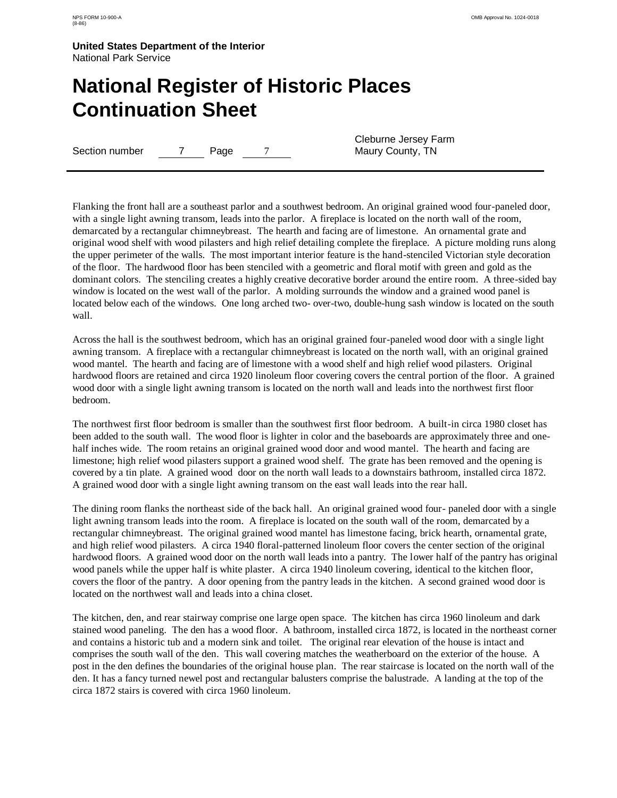### **National Register of Historic Places Continuation Sheet**

Section number 7 Page 7

Cleburne Jersey Farm Maury County, TN

Flanking the front hall are a southeast parlor and a southwest bedroom. An original grained wood four-paneled door, with a single light awning transom, leads into the parlor. A fireplace is located on the north wall of the room, demarcated by a rectangular chimneybreast. The hearth and facing are of limestone. An ornamental grate and original wood shelf with wood pilasters and high relief detailing complete the fireplace. A picture molding runs along the upper perimeter of the walls. The most important interior feature is the hand-stenciled Victorian style decoration of the floor. The hardwood floor has been stenciled with a geometric and floral motif with green and gold as the dominant colors. The stenciling creates a highly creative decorative border around the entire room. A three-sided bay window is located on the west wall of the parlor. A molding surrounds the window and a grained wood panel is located below each of the windows. One long arched two- over-two, double-hung sash window is located on the south wall.

Across the hall is the southwest bedroom, which has an original grained four-paneled wood door with a single light awning transom. A fireplace with a rectangular chimneybreast is located on the north wall, with an original grained wood mantel. The hearth and facing are of limestone with a wood shelf and high relief wood pilasters. Original hardwood floors are retained and circa 1920 linoleum floor covering covers the central portion of the floor. A grained wood door with a single light awning transom is located on the north wall and leads into the northwest first floor bedroom.

The northwest first floor bedroom is smaller than the southwest first floor bedroom. A built-in circa 1980 closet has been added to the south wall. The wood floor is lighter in color and the baseboards are approximately three and onehalf inches wide. The room retains an original grained wood door and wood mantel. The hearth and facing are limestone; high relief wood pilasters support a grained wood shelf. The grate has been removed and the opening is covered by a tin plate. A grained wood door on the north wall leads to a downstairs bathroom, installed circa 1872. A grained wood door with a single light awning transom on the east wall leads into the rear hall.

The dining room flanks the northeast side of the back hall. An original grained wood four- paneled door with a single light awning transom leads into the room. A fireplace is located on the south wall of the room, demarcated by a rectangular chimneybreast. The original grained wood mantel has limestone facing, brick hearth, ornamental grate, and high relief wood pilasters. A circa 1940 floral-patterned linoleum floor covers the center section of the original hardwood floors. A grained wood door on the north wall leads into a pantry. The lower half of the pantry has original wood panels while the upper half is white plaster. A circa 1940 linoleum covering, identical to the kitchen floor, covers the floor of the pantry. A door opening from the pantry leads in the kitchen. A second grained wood door is located on the northwest wall and leads into a china closet.

The kitchen, den, and rear stairway comprise one large open space. The kitchen has circa 1960 linoleum and dark stained wood paneling. The den has a wood floor. A bathroom, installed circa 1872, is located in the northeast corner and contains a historic tub and a modern sink and toilet. The original rear elevation of the house is intact and comprises the south wall of the den. This wall covering matches the weatherboard on the exterior of the house. A post in the den defines the boundaries of the original house plan. The rear staircase is located on the north wall of the den. It has a fancy turned newel post and rectangular balusters comprise the balustrade. A landing at the top of the circa 1872 stairs is covered with circa 1960 linoleum.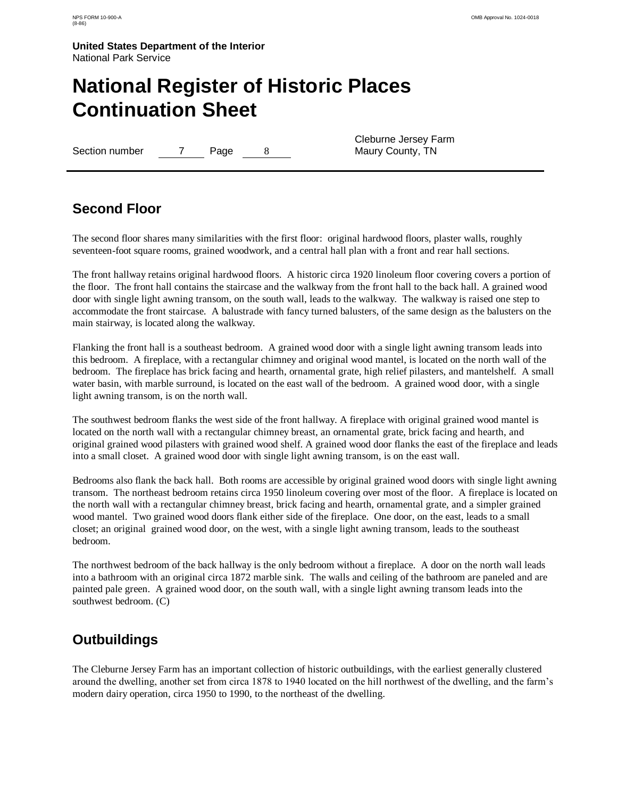### **National Register of Historic Places Continuation Sheet**

Section number 7 Page 8

Cleburne Jersey Farm Maury County, TN

### **Second Floor**

The second floor shares many similarities with the first floor: original hardwood floors, plaster walls, roughly seventeen-foot square rooms, grained woodwork, and a central hall plan with a front and rear hall sections.

The front hallway retains original hardwood floors. A historic circa 1920 linoleum floor covering covers a portion of the floor. The front hall contains the staircase and the walkway from the front hall to the back hall. A grained wood door with single light awning transom, on the south wall, leads to the walkway. The walkway is raised one step to accommodate the front staircase. A balustrade with fancy turned balusters, of the same design as the balusters on the main stairway, is located along the walkway.

Flanking the front hall is a southeast bedroom. A grained wood door with a single light awning transom leads into this bedroom. A fireplace, with a rectangular chimney and original wood mantel, is located on the north wall of the bedroom. The fireplace has brick facing and hearth, ornamental grate, high relief pilasters, and mantelshelf. A small water basin, with marble surround, is located on the east wall of the bedroom. A grained wood door, with a single light awning transom, is on the north wall.

The southwest bedroom flanks the west side of the front hallway. A fireplace with original grained wood mantel is located on the north wall with a rectangular chimney breast, an ornamental grate, brick facing and hearth, and original grained wood pilasters with grained wood shelf. A grained wood door flanks the east of the fireplace and leads into a small closet. A grained wood door with single light awning transom, is on the east wall.

Bedrooms also flank the back hall. Both rooms are accessible by original grained wood doors with single light awning transom. The northeast bedroom retains circa 1950 linoleum covering over most of the floor. A fireplace is located on the north wall with a rectangular chimney breast, brick facing and hearth, ornamental grate, and a simpler grained wood mantel. Two grained wood doors flank either side of the fireplace. One door, on the east, leads to a small closet; an original grained wood door, on the west, with a single light awning transom, leads to the southeast bedroom.

The northwest bedroom of the back hallway is the only bedroom without a fireplace. A door on the north wall leads into a bathroom with an original circa 1872 marble sink. The walls and ceiling of the bathroom are paneled and are painted pale green. A grained wood door, on the south wall, with a single light awning transom leads into the southwest bedroom. (C)

### **Outbuildings**

The Cleburne Jersey Farm has an important collection of historic outbuildings, with the earliest generally clustered around the dwelling, another set from circa 1878 to 1940 located on the hill northwest of the dwelling, and the farm"s modern dairy operation, circa 1950 to 1990, to the northeast of the dwelling.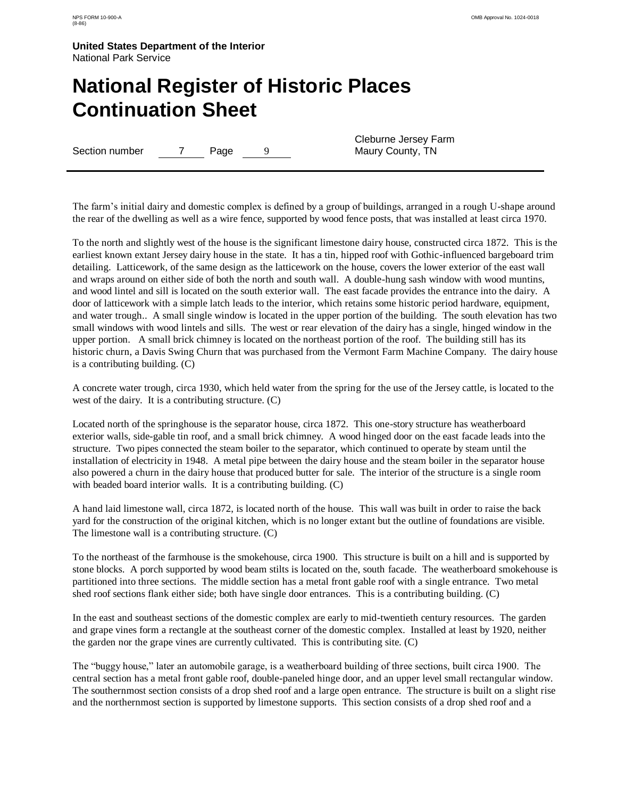### **National Register of Historic Places Continuation Sheet**

Section number 7 Page 9

Cleburne Jersey Farm Maury County, TN

The farm"s initial dairy and domestic complex is defined by a group of buildings, arranged in a rough U-shape around the rear of the dwelling as well as a wire fence, supported by wood fence posts, that was installed at least circa 1970.

To the north and slightly west of the house is the significant limestone dairy house, constructed circa 1872. This is the earliest known extant Jersey dairy house in the state. It has a tin, hipped roof with Gothic-influenced bargeboard trim detailing. Latticework, of the same design as the latticework on the house, covers the lower exterior of the east wall and wraps around on either side of both the north and south wall. A double-hung sash window with wood muntins, and wood lintel and sill is located on the south exterior wall. The east facade provides the entrance into the dairy. A door of latticework with a simple latch leads to the interior, which retains some historic period hardware, equipment, and water trough.. A small single window is located in the upper portion of the building. The south elevation has two small windows with wood lintels and sills. The west or rear elevation of the dairy has a single, hinged window in the upper portion. A small brick chimney is located on the northeast portion of the roof. The building still has its historic churn, a Davis Swing Churn that was purchased from the Vermont Farm Machine Company. The dairy house is a contributing building. (C)

A concrete water trough, circa 1930, which held water from the spring for the use of the Jersey cattle, is located to the west of the dairy. It is a contributing structure. (C)

Located north of the springhouse is the separator house, circa 1872. This one-story structure has weatherboard exterior walls, side-gable tin roof, and a small brick chimney. A wood hinged door on the east facade leads into the structure. Two pipes connected the steam boiler to the separator, which continued to operate by steam until the installation of electricity in 1948. A metal pipe between the dairy house and the steam boiler in the separator house also powered a churn in the dairy house that produced butter for sale. The interior of the structure is a single room with beaded board interior walls. It is a contributing building. (C)

A hand laid limestone wall, circa 1872, is located north of the house. This wall was built in order to raise the back yard for the construction of the original kitchen, which is no longer extant but the outline of foundations are visible. The limestone wall is a contributing structure. (C)

To the northeast of the farmhouse is the smokehouse, circa 1900. This structure is built on a hill and is supported by stone blocks. A porch supported by wood beam stilts is located on the, south facade. The weatherboard smokehouse is partitioned into three sections. The middle section has a metal front gable roof with a single entrance. Two metal shed roof sections flank either side; both have single door entrances. This is a contributing building. (C)

In the east and southeast sections of the domestic complex are early to mid-twentieth century resources. The garden and grape vines form a rectangle at the southeast corner of the domestic complex. Installed at least by 1920, neither the garden nor the grape vines are currently cultivated. This is contributing site. (C)

The "buggy house," later an automobile garage, is a weatherboard building of three sections, built circa 1900. The central section has a metal front gable roof, double-paneled hinge door, and an upper level small rectangular window. The southernmost section consists of a drop shed roof and a large open entrance. The structure is built on a slight rise and the northernmost section is supported by limestone supports. This section consists of a drop shed roof and a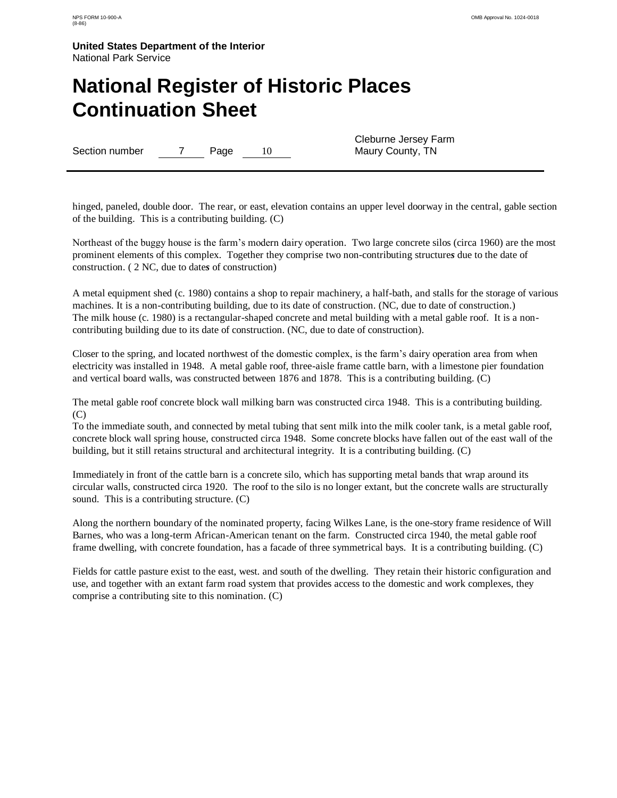### **National Register of Historic Places Continuation Sheet**

Section number 7 Page 10

Cleburne Jersey Farm Maury County, TN

hinged, paneled, double door. The rear, or east, elevation contains an upper level doorway in the central, gable section of the building. This is a contributing building. (C)

Northeast of the buggy house is the farm"s modern dairy operation. Two large concrete silos (circa 1960) are the most prominent elements of this complex. Together they comprise two non-contributing structure*s* due to the date of construction. ( 2 NC, due to date*s* of construction)

A metal equipment shed (c. 1980) contains a shop to repair machinery, a half-bath, and stalls for the storage of various machines. It is a non-contributing building, due to its date of construction. (NC, due to date of construction.) The milk house (c. 1980) is a rectangular-shaped concrete and metal building with a metal gable roof. It is a noncontributing building due to its date of construction. (NC, due to date of construction).

Closer to the spring, and located northwest of the domestic complex, is the farm"s dairy operation area from when electricity was installed in 1948. A metal gable roof, three-aisle frame cattle barn, with a limestone pier foundation and vertical board walls, was constructed between 1876 and 1878. This is a contributing building. (C)

The metal gable roof concrete block wall milking barn was constructed circa 1948. This is a contributing building. (C)

To the immediate south, and connected by metal tubing that sent milk into the milk cooler tank, is a metal gable roof, concrete block wall spring house, constructed circa 1948. Some concrete blocks have fallen out of the east wall of the building, but it still retains structural and architectural integrity. It is a contributing building. (C)

Immediately in front of the cattle barn is a concrete silo, which has supporting metal bands that wrap around its circular walls, constructed circa 1920. The roof to the silo is no longer extant, but the concrete walls are structurally sound. This is a contributing structure. (C)

Along the northern boundary of the nominated property, facing Wilkes Lane, is the one-story frame residence of Will Barnes, who was a long-term African-American tenant on the farm. Constructed circa 1940, the metal gable roof frame dwelling, with concrete foundation, has a facade of three symmetrical bays. It is a contributing building. (C)

Fields for cattle pasture exist to the east, west. and south of the dwelling. They retain their historic configuration and use, and together with an extant farm road system that provides access to the domestic and work complexes, they comprise a contributing site to this nomination. (C)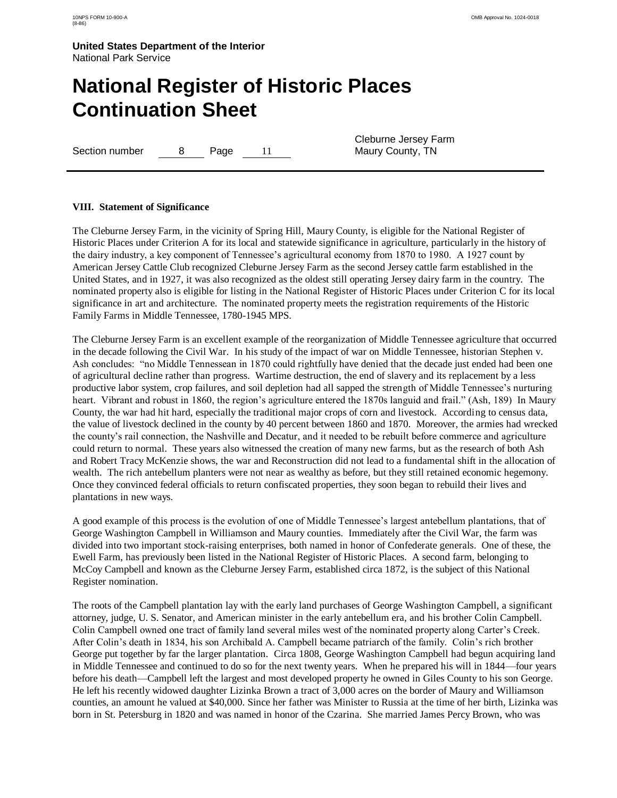# **National Register of Historic Places Continuation Sheet**

Section number 8 Page 11

Cleburne Jersey Farm Maury County, TN

#### **VIII. Statement of Significance**

The Cleburne Jersey Farm, in the vicinity of Spring Hill, Maury County, is eligible for the National Register of Historic Places under Criterion A for its local and statewide significance in agriculture, particularly in the history of the dairy industry, a key component of Tennessee"s agricultural economy from 1870 to 1980. A 1927 count by American Jersey Cattle Club recognized Cleburne Jersey Farm as the second Jersey cattle farm established in the United States, and in 1927, it was also recognized as the oldest still operating Jersey dairy farm in the country. The nominated property also is eligible for listing in the National Register of Historic Places under Criterion C for its local significance in art and architecture. The nominated property meets the registration requirements of the Historic Family Farms in Middle Tennessee, 1780-1945 MPS.

The Cleburne Jersey Farm is an excellent example of the reorganization of Middle Tennessee agriculture that occurred in the decade following the Civil War. In his study of the impact of war on Middle Tennessee, historian Stephen v. Ash concludes: "no Middle Tennessean in 1870 could rightfully have denied that the decade just ended had been one of agricultural decline rather than progress. Wartime destruction, the end of slavery and its replacement by a less productive labor system, crop failures, and soil depletion had all sapped the strength of Middle Tennessee"s nurturing heart. Vibrant and robust in 1860, the region's agriculture entered the 1870s languid and frail." (Ash, 189) In Maury County, the war had hit hard, especially the traditional major crops of corn and livestock. According to census data, the value of livestock declined in the county by 40 percent between 1860 and 1870. Moreover, the armies had wrecked the county"s rail connection, the Nashville and Decatur, and it needed to be rebuilt before commerce and agriculture could return to normal. These years also witnessed the creation of many new farms, but as the research of both Ash and Robert Tracy McKenzie shows, the war and Reconstruction did not lead to a fundamental shift in the allocation of wealth. The rich antebellum planters were not near as wealthy as before, but they still retained economic hegemony. Once they convinced federal officials to return confiscated properties, they soon began to rebuild their lives and plantations in new ways.

A good example of this process is the evolution of one of Middle Tennessee"s largest antebellum plantations, that of George Washington Campbell in Williamson and Maury counties. Immediately after the Civil War, the farm was divided into two important stock-raising enterprises, both named in honor of Confederate generals. One of these, the Ewell Farm, has previously been listed in the National Register of Historic Places. A second farm, belonging to McCoy Campbell and known as the Cleburne Jersey Farm, established circa 1872, is the subject of this National Register nomination.

The roots of the Campbell plantation lay with the early land purchases of George Washington Campbell, a significant attorney, judge, U. S. Senator, and American minister in the early antebellum era, and his brother Colin Campbell. Colin Campbell owned one tract of family land several miles west of the nominated property along Carter"s Creek. After Colin"s death in 1834, his son Archibald A. Campbell became patriarch of the family. Colin"s rich brother George put together by far the larger plantation. Circa 1808, George Washington Campbell had begun acquiring land in Middle Tennessee and continued to do so for the next twenty years. When he prepared his will in 1844—four years before his death—Campbell left the largest and most developed property he owned in Giles County to his son George. He left his recently widowed daughter Lizinka Brown a tract of 3,000 acres on the border of Maury and Williamson counties, an amount he valued at \$40,000. Since her father was Minister to Russia at the time of her birth, Lizinka was born in St. Petersburg in 1820 and was named in honor of the Czarina. She married James Percy Brown, who was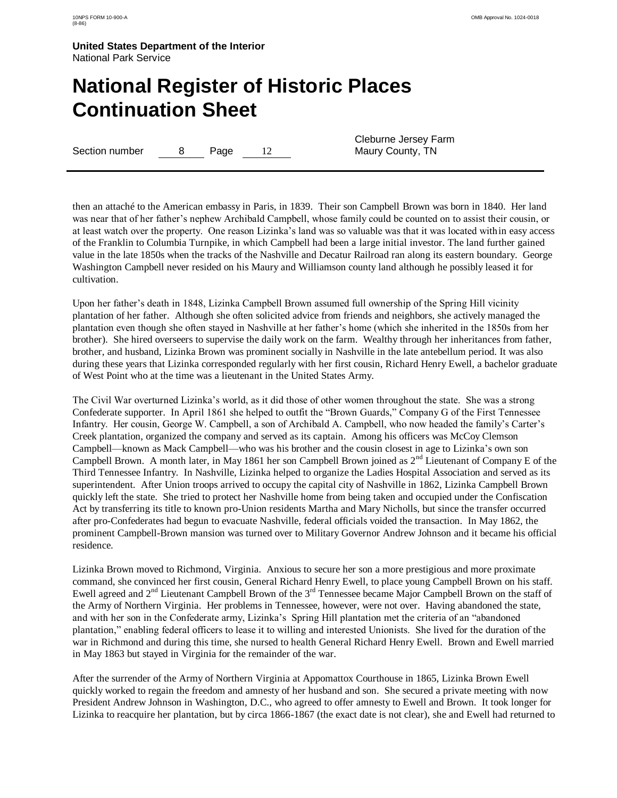# **National Register of Historic Places Continuation Sheet**

Section number 8 Page 12

Cleburne Jersey Farm Maury County, TN

then an attaché to the American embassy in Paris, in 1839. Their son Campbell Brown was born in 1840. Her land was near that of her father"s nephew Archibald Campbell, whose family could be counted on to assist their cousin, or at least watch over the property. One reason Lizinka"s land was so valuable was that it was located within easy access of the Franklin to Columbia Turnpike, in which Campbell had been a large initial investor. The land further gained value in the late 1850s when the tracks of the Nashville and Decatur Railroad ran along its eastern boundary. George Washington Campbell never resided on his Maury and Williamson county land although he possibly leased it for cultivation.

Upon her father"s death in 1848, Lizinka Campbell Brown assumed full ownership of the Spring Hill vicinity plantation of her father. Although she often solicited advice from friends and neighbors, she actively managed the plantation even though she often stayed in Nashville at her father"s home (which she inherited in the 1850s from her brother). She hired overseers to supervise the daily work on the farm. Wealthy through her inheritances from father, brother, and husband, Lizinka Brown was prominent socially in Nashville in the late antebellum period. It was also during these years that Lizinka corresponded regularly with her first cousin, Richard Henry Ewell, a bachelor graduate of West Point who at the time was a lieutenant in the United States Army.

The Civil War overturned Lizinka"s world, as it did those of other women throughout the state. She was a strong Confederate supporter. In April 1861 she helped to outfit the "Brown Guards," Company G of the First Tennessee Infantry. Her cousin, George W. Campbell, a son of Archibald A. Campbell, who now headed the family"s Carter"s Creek plantation, organized the company and served as its captain. Among his officers was McCoy Clemson Campbell—known as Mack Campbell—who was his brother and the cousin closest in age to Lizinka"s own son Campbell Brown. A month later, in May 1861 her son Campbell Brown joined as 2<sup>nd</sup> Lieutenant of Company E of the Third Tennessee Infantry. In Nashville, Lizinka helped to organize the Ladies Hospital Association and served as its superintendent. After Union troops arrived to occupy the capital city of Nashville in 1862, Lizinka Campbell Brown quickly left the state. She tried to protect her Nashville home from being taken and occupied under the Confiscation Act by transferring its title to known pro-Union residents Martha and Mary Nicholls, but since the transfer occurred after pro-Confederates had begun to evacuate Nashville, federal officials voided the transaction. In May 1862, the prominent Campbell-Brown mansion was turned over to Military Governor Andrew Johnson and it became his official residence.

Lizinka Brown moved to Richmond, Virginia. Anxious to secure her son a more prestigious and more proximate command, she convinced her first cousin, General Richard Henry Ewell, to place young Campbell Brown on his staff. Ewell agreed and 2<sup>nd</sup> Lieutenant Campbell Brown of the 3<sup>rd</sup> Tennessee became Major Campbell Brown on the staff of the Army of Northern Virginia. Her problems in Tennessee, however, were not over. Having abandoned the state, and with her son in the Confederate army, Lizinka"s Spring Hill plantation met the criteria of an "abandoned plantation," enabling federal officers to lease it to willing and interested Unionists. She lived for the duration of the war in Richmond and during this time, she nursed to health General Richard Henry Ewell. Brown and Ewell married in May 1863 but stayed in Virginia for the remainder of the war.

After the surrender of the Army of Northern Virginia at Appomattox Courthouse in 1865, Lizinka Brown Ewell quickly worked to regain the freedom and amnesty of her husband and son. She secured a private meeting with now President Andrew Johnson in Washington, D.C., who agreed to offer amnesty to Ewell and Brown. It took longer for Lizinka to reacquire her plantation, but by circa 1866-1867 (the exact date is not clear), she and Ewell had returned to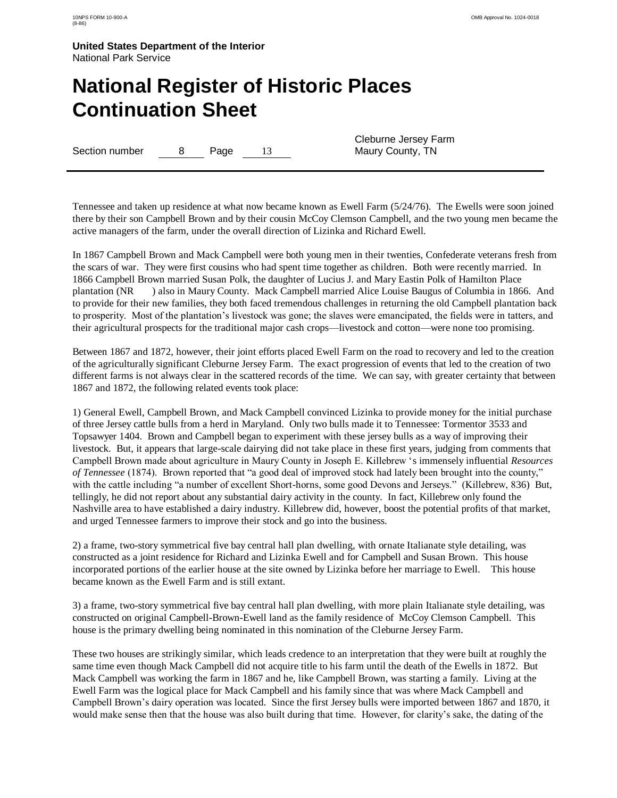# **National Register of Historic Places Continuation Sheet**

Section number 8 Page 13

Cleburne Jersey Farm Maury County, TN

Tennessee and taken up residence at what now became known as Ewell Farm (5/24/76). The Ewells were soon joined there by their son Campbell Brown and by their cousin McCoy Clemson Campbell, and the two young men became the active managers of the farm, under the overall direction of Lizinka and Richard Ewell.

In 1867 Campbell Brown and Mack Campbell were both young men in their twenties, Confederate veterans fresh from the scars of war. They were first cousins who had spent time together as children. Both were recently married. In 1866 Campbell Brown married Susan Polk, the daughter of Lucius J. and Mary Eastin Polk of Hamilton Place plantation (NR ) also in Maury County. Mack Campbell married Alice Louise Baugus of Columbia in 1866. And to provide for their new families, they both faced tremendous challenges in returning the old Campbell plantation back to prosperity. Most of the plantation"s livestock was gone; the slaves were emancipated, the fields were in tatters, and their agricultural prospects for the traditional major cash crops—livestock and cotton—were none too promising.

Between 1867 and 1872, however, their joint efforts placed Ewell Farm on the road to recovery and led to the creation of the agriculturally significant Cleburne Jersey Farm. The exact progression of events that led to the creation of two different farms is not always clear in the scattered records of the time. We can say, with greater certainty that between 1867 and 1872, the following related events took place:

1) General Ewell, Campbell Brown, and Mack Campbell convinced Lizinka to provide money for the initial purchase of three Jersey cattle bulls from a herd in Maryland. Only two bulls made it to Tennessee: Tormentor 3533 and Topsawyer 1404. Brown and Campbell began to experiment with these jersey bulls as a way of improving their livestock. But, it appears that large-scale dairying did not take place in these first years, judging from comments that Campbell Brown made about agriculture in Maury County in Joseph E. Killebrew "s immensely influential *Resources of Tennessee* (1874). Brown reported that "a good deal of improved stock had lately been brought into the county," with the cattle including "a number of excellent Short-horns, some good Devons and Jerseys." (Killebrew, 836) But, tellingly, he did not report about any substantial dairy activity in the county. In fact, Killebrew only found the Nashville area to have established a dairy industry. Killebrew did, however, boost the potential profits of that market, and urged Tennessee farmers to improve their stock and go into the business.

2) a frame, two-story symmetrical five bay central hall plan dwelling, with ornate Italianate style detailing, was constructed as a joint residence for Richard and Lizinka Ewell and for Campbell and Susan Brown. This house incorporated portions of the earlier house at the site owned by Lizinka before her marriage to Ewell. This house became known as the Ewell Farm and is still extant.

3) a frame, two-story symmetrical five bay central hall plan dwelling, with more plain Italianate style detailing, was constructed on original Campbell-Brown-Ewell land as the family residence of McCoy Clemson Campbell. This house is the primary dwelling being nominated in this nomination of the Cleburne Jersey Farm.

These two houses are strikingly similar, which leads credence to an interpretation that they were built at roughly the same time even though Mack Campbell did not acquire title to his farm until the death of the Ewells in 1872. But Mack Campbell was working the farm in 1867 and he, like Campbell Brown, was starting a family. Living at the Ewell Farm was the logical place for Mack Campbell and his family since that was where Mack Campbell and Campbell Brown"s dairy operation was located. Since the first Jersey bulls were imported between 1867 and 1870, it would make sense then that the house was also built during that time. However, for clarity's sake, the dating of the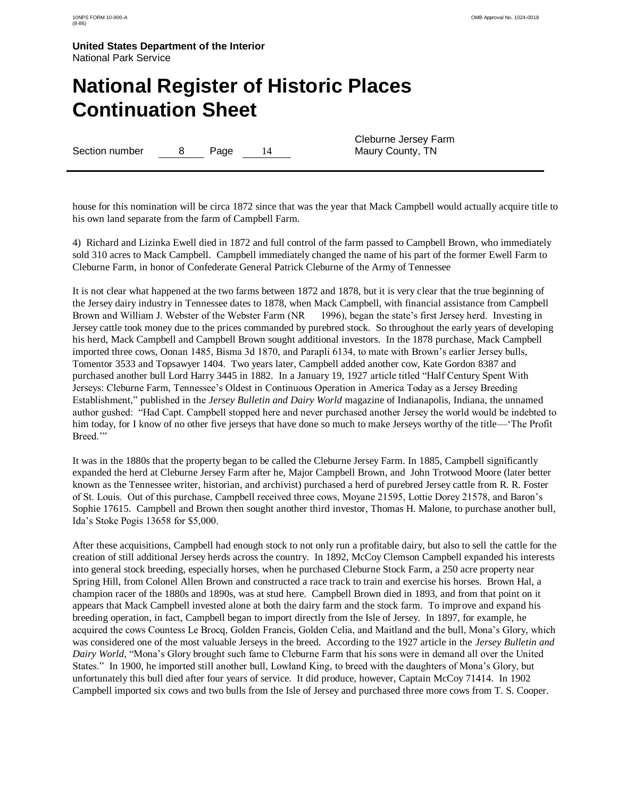# **National Register of Historic Places Continuation Sheet**

Section number 8 Page 14

Cleburne Jersey Farm Maury County, TN

house for this nomination will be circa 1872 since that was the year that Mack Campbell would actually acquire title to his own land separate from the farm of Campbell Farm.

4) Richard and Lizinka Ewell died in 1872 and full control of the farm passed to Campbell Brown, who immediately sold 310 acres to Mack Campbell. Campbell immediately changed the name of his part of the former Ewell Farm to Cleburne Farm, in honor of Confederate General Patrick Cleburne of the Army of Tennessee

It is not clear what happened at the two farms between 1872 and 1878, but it is very clear that the true beginning of the Jersey dairy industry in Tennessee dates to 1878, when Mack Campbell, with financial assistance from Campbell Brown and William J. Webster of the Webster Farm (NR 1996), began the state's first Jersey herd. Investing in Jersey cattle took money due to the prices commanded by purebred stock. So throughout the early years of developing his herd, Mack Campbell and Campbell Brown sought additional investors. In the 1878 purchase, Mack Campbell imported three cows, Oonan 1485, Bisma 3d 1870, and Parapli 6134, to mate with Brown"s earlier Jersey bulls, Tomentor 3533 and Topsawyer 1404. Two years later, Campbell added another cow, Kate Gordon 8387 and purchased another bull Lord Harry 3445 in 1882. In a January 19, 1927 article titled "Half Century Spent With Jerseys: Cleburne Farm, Tennessee"s Oldest in Continuous Operation in America Today as a Jersey Breeding Establishment," published in the *Jersey Bulletin and Dairy World* magazine of Indianapolis, Indiana, the unnamed author gushed: "Had Capt. Campbell stopped here and never purchased another Jersey the world would be indebted to him today, for I know of no other five jerseys that have done so much to make Jerseys worthy of the title—"The Profit Breed.""

It was in the 1880s that the property began to be called the Cleburne Jersey Farm. In 1885, Campbell significantly expanded the herd at Cleburne Jersey Farm after he, Major Campbell Brown, and John Trotwood Moore (later better known as the Tennessee writer, historian, and archivist) purchased a herd of purebred Jersey cattle from R. R. Foster of St. Louis. Out of this purchase, Campbell received three cows, Moyane 21595, Lottie Dorey 21578, and Baron"s Sophie 17615. Campbell and Brown then sought another third investor, Thomas H. Malone, to purchase another bull, Ida"s Stoke Pogis 13658 for \$5,000.

After these acquisitions, Campbell had enough stock to not only run a profitable dairy, but also to sell the cattle for the creation of still additional Jersey herds across the country. In 1892, McCoy Clemson Campbell expanded his interests into general stock breeding, especially horses, when he purchased Cleburne Stock Farm, a 250 acre property near Spring Hill, from Colonel Allen Brown and constructed a race track to train and exercise his horses. Brown Hal, a champion racer of the 1880s and 1890s, was at stud here. Campbell Brown died in 1893, and from that point on it appears that Mack Campbell invested alone at both the dairy farm and the stock farm. To improve and expand his breeding operation, in fact, Campbell began to import directly from the Isle of Jersey. In 1897, for example, he acquired the cows Countess Le Brocq, Golden Francis, Golden Celia, and Maitland and the bull, Mona"s Glory, which was considered one of the most valuable Jerseys in the breed. According to the 1927 article in the *Jersey Bulletin and Dairy World*, "Mona"s Glory brought such fame to Cleburne Farm that his sons were in demand all over the United States." In 1900, he imported still another bull, Lowland King, to breed with the daughters of Mona"s Glory, but unfortunately this bull died after four years of service. It did produce, however, Captain McCoy 71414. In 1902 Campbell imported six cows and two bulls from the Isle of Jersey and purchased three more cows from T. S. Cooper.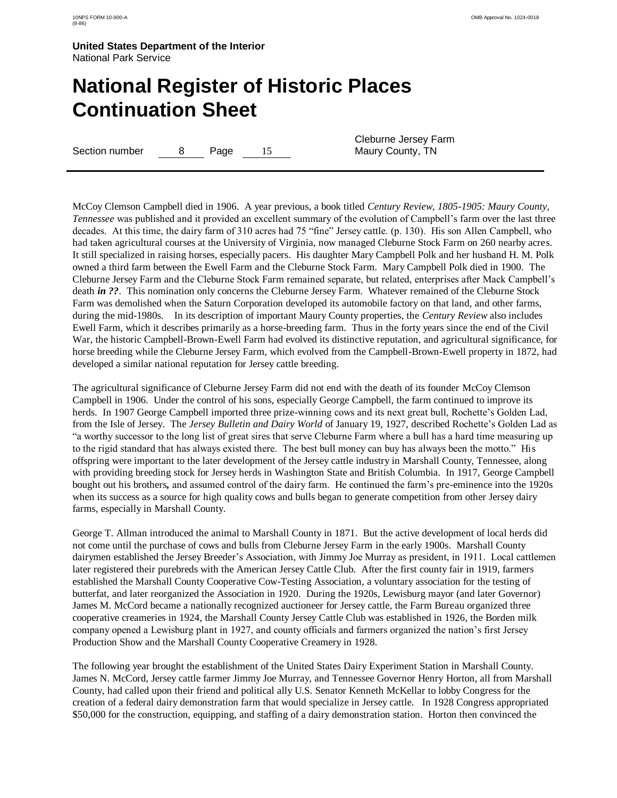# **National Register of Historic Places Continuation Sheet**

Section number 8 Page 15

Cleburne Jersey Farm Maury County, TN

McCoy Clemson Campbell died in 1906. A year previous, a book titled *Century Review, 1805-1905: Maury County, Tennessee* was published and it provided an excellent summary of the evolution of Campbell"s farm over the last three decades. At this time, the dairy farm of 310 acres had 75 "fine" Jersey cattle. (p. 130). His son Allen Campbell, who had taken agricultural courses at the University of Virginia, now managed Cleburne Stock Farm on 260 nearby acres. It still specialized in raising horses, especially pacers. His daughter Mary Campbell Polk and her husband H. M. Polk owned a third farm between the Ewell Farm and the Cleburne Stock Farm. Mary Campbell Polk died in 1900. The Cleburne Jersey Farm and the Cleburne Stock Farm remained separate, but related, enterprises after Mack Campbell"s death *in ??*. This nomination only concerns the Cleburne Jersey Farm. Whatever remained of the Cleburne Stock Farm was demolished when the Saturn Corporation developed its automobile factory on that land, and other farms, during the mid-1980s. In its description of important Maury County properties, the *Century Review* also includes Ewell Farm, which it describes primarily as a horse-breeding farm. Thus in the forty years since the end of the Civil War, the historic Campbell-Brown-Ewell Farm had evolved its distinctive reputation, and agricultural significance, for horse breeding while the Cleburne Jersey Farm, which evolved from the Campbell-Brown-Ewell property in 1872, had developed a similar national reputation for Jersey cattle breeding.

The agricultural significance of Cleburne Jersey Farm did not end with the death of its founder McCoy Clemson Campbell in 1906. Under the control of his sons, especially George Campbell, the farm continued to improve its herds. In 1907 George Campbell imported three prize-winning cows and its next great bull, Rochette's Golden Lad, from the Isle of Jersey. The *Jersey Bulletin and Dairy World* of January 19, 1927, described Rochette's Golden Lad as "a worthy successor to the long list of great sires that serve Cleburne Farm where a bull has a hard time measuring up to the rigid standard that has always existed there. The best bull money can buy has always been the motto." His offspring were important to the later development of the Jersey cattle industry in Marshall County, Tennessee, along with providing breeding stock for Jersey herds in Washington State and British Columbia. In 1917, George Campbell bought out his brothers*,* and assumed control of the dairy farm. He continued the farm"s pre-eminence into the 1920s when its success as a source for high quality cows and bulls began to generate competition from other Jersey dairy farms, especially in Marshall County.

George T. Allman introduced the animal to Marshall County in 1871. But the active development of local herds did not come until the purchase of cows and bulls from Cleburne Jersey Farm in the early 1900s. Marshall County dairymen established the Jersey Breeder"s Association, with Jimmy Joe Murray as president, in 1911. Local cattlemen later registered their purebreds with the American Jersey Cattle Club. After the first county fair in 1919, farmers established the Marshall County Cooperative Cow-Testing Association, a voluntary association for the testing of butterfat, and later reorganized the Association in 1920. During the 1920s, Lewisburg mayor (and later Governor) James M. McCord became a nationally recognized auctioneer for Jersey cattle, the Farm Bureau organized three cooperative creameries in 1924, the Marshall County Jersey Cattle Club was established in 1926, the Borden milk company opened a Lewisburg plant in 1927, and county officials and farmers organized the nation"s first Jersey Production Show and the Marshall County Cooperative Creamery in 1928.

The following year brought the establishment of the United States Dairy Experiment Station in Marshall County. James N. McCord, Jersey cattle farmer Jimmy Joe Murray, and Tennessee Governor Henry Horton, all from Marshall County, had called upon their friend and political ally U.S. Senator Kenneth McKellar to lobby Congress for the creation of a federal dairy demonstration farm that would specialize in Jersey cattle. In 1928 Congress appropriated \$50,000 for the construction, equipping, and staffing of a dairy demonstration station. Horton then convinced the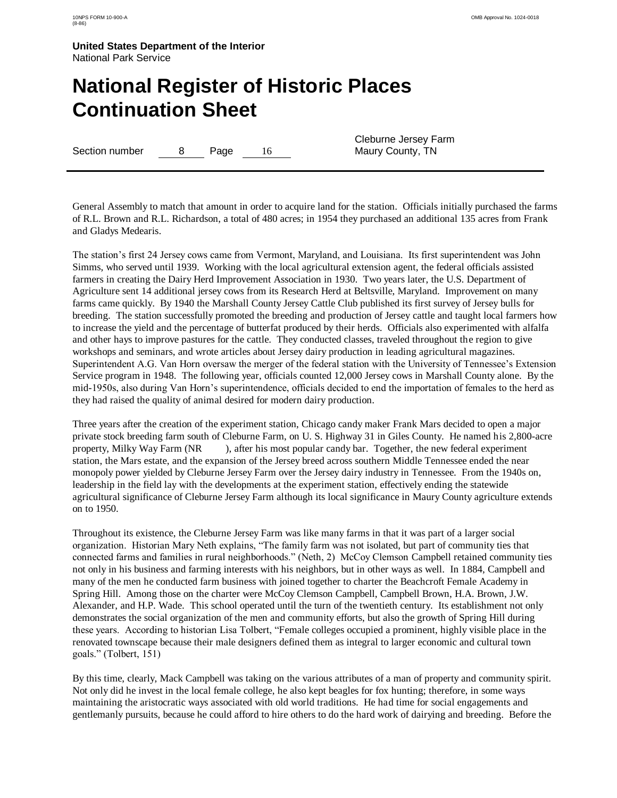# **National Register of Historic Places Continuation Sheet**

Section number 8 Page 16

Cleburne Jersey Farm Maury County, TN

General Assembly to match that amount in order to acquire land for the station. Officials initially purchased the farms of R.L. Brown and R.L. Richardson, a total of 480 acres; in 1954 they purchased an additional 135 acres from Frank and Gladys Medearis.

The station"s first 24 Jersey cows came from Vermont, Maryland, and Louisiana. Its first superintendent was John Simms, who served until 1939. Working with the local agricultural extension agent, the federal officials assisted farmers in creating the Dairy Herd Improvement Association in 1930. Two years later, the U.S. Department of Agriculture sent 14 additional jersey cows from its Research Herd at Beltsville, Maryland. Improvement on many farms came quickly. By 1940 the Marshall County Jersey Cattle Club published its first survey of Jersey bulls for breeding. The station successfully promoted the breeding and production of Jersey cattle and taught local farmers how to increase the yield and the percentage of butterfat produced by their herds. Officials also experimented with alfalfa and other hays to improve pastures for the cattle. They conducted classes, traveled throughout the region to give workshops and seminars, and wrote articles about Jersey dairy production in leading agricultural magazines. Superintendent A.G. Van Horn oversaw the merger of the federal station with the University of Tennessee"s Extension Service program in 1948. The following year, officials counted 12,000 Jersey cows in Marshall County alone. By the mid-1950s, also during Van Horn"s superintendence, officials decided to end the importation of females to the herd as they had raised the quality of animal desired for modern dairy production.

Three years after the creation of the experiment station, Chicago candy maker Frank Mars decided to open a major private stock breeding farm south of Cleburne Farm, on U. S. Highway 31 in Giles County. He named his 2,800-acre property, Milky Way Farm (NR ), after his most popular candy bar. Together, the new federal experiment station, the Mars estate, and the expansion of the Jersey breed across southern Middle Tennessee ended the near monopoly power yielded by Cleburne Jersey Farm over the Jersey dairy industry in Tennessee. From the 1940s on, leadership in the field lay with the developments at the experiment station, effectively ending the statewide agricultural significance of Cleburne Jersey Farm although its local significance in Maury County agriculture extends on to 1950.

Throughout its existence, the Cleburne Jersey Farm was like many farms in that it was part of a larger social organization. Historian Mary Neth explains, "The family farm was not isolated, but part of community ties that connected farms and families in rural neighborhoods." (Neth, 2) McCoy Clemson Campbell retained community ties not only in his business and farming interests with his neighbors, but in other ways as well. In 1884, Campbell and many of the men he conducted farm business with joined together to charter the Beachcroft Female Academy in Spring Hill. Among those on the charter were McCoy Clemson Campbell, Campbell Brown, H.A. Brown, J.W. Alexander, and H.P. Wade. This school operated until the turn of the twentieth century. Its establishment not only demonstrates the social organization of the men and community efforts, but also the growth of Spring Hill during these years. According to historian Lisa Tolbert, "Female colleges occupied a prominent, highly visible place in the renovated townscape because their male designers defined them as integral to larger economic and cultural town goals." (Tolbert, 151)

By this time, clearly, Mack Campbell was taking on the various attributes of a man of property and community spirit. Not only did he invest in the local female college, he also kept beagles for fox hunting; therefore, in some ways maintaining the aristocratic ways associated with old world traditions. He had time for social engagements and gentlemanly pursuits, because he could afford to hire others to do the hard work of dairying and breeding. Before the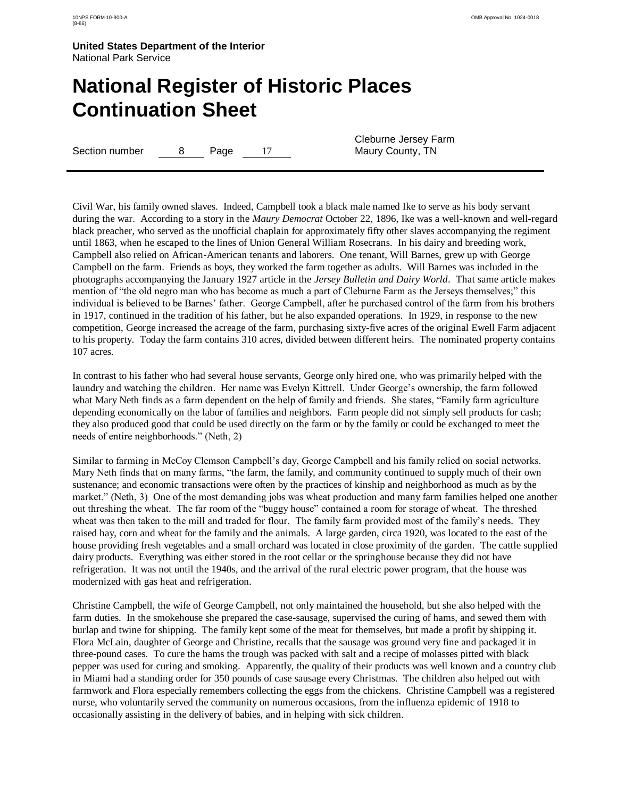### **National Register of Historic Places Continuation Sheet**

Section number 8 Page 17

Cleburne Jersey Farm Maury County, TN

Civil War, his family owned slaves. Indeed, Campbell took a black male named Ike to serve as his body servant during the war. According to a story in the *Maury Democrat* October 22, 1896, Ike was a well-known and well-regard black preacher, who served as the unofficial chaplain for approximately fifty other slaves accompanying the regiment until 1863, when he escaped to the lines of Union General William Rosecrans. In his dairy and breeding work, Campbell also relied on African-American tenants and laborers. One tenant, Will Barnes, grew up with George Campbell on the farm. Friends as boys, they worked the farm together as adults. Will Barnes was included in the photographs accompanying the January 1927 article in the *Jersey Bulletin and Dairy World*. That same article makes mention of "the old negro man who has become as much a part of Cleburne Farm as the Jerseys themselves;" this individual is believed to be Barnes" father. George Campbell, after he purchased control of the farm from his brothers in 1917, continued in the tradition of his father, but he also expanded operations. In 1929, in response to the new competition, George increased the acreage of the farm, purchasing sixty-five acres of the original Ewell Farm adjacent to his property. Today the farm contains 310 acres, divided between different heirs. The nominated property contains 107 acres.

In contrast to his father who had several house servants, George only hired one, who was primarily helped with the laundry and watching the children. Her name was Evelyn Kittrell. Under George's ownership, the farm followed what Mary Neth finds as a farm dependent on the help of family and friends. She states, "Family farm agriculture depending economically on the labor of families and neighbors. Farm people did not simply sell products for cash; they also produced good that could be used directly on the farm or by the family or could be exchanged to meet the needs of entire neighborhoods." (Neth, 2)

Similar to farming in McCoy Clemson Campbell"s day, George Campbell and his family relied on social networks. Mary Neth finds that on many farms, "the farm, the family, and community continued to supply much of their own sustenance; and economic transactions were often by the practices of kinship and neighborhood as much as by the market." (Neth, 3) One of the most demanding jobs was wheat production and many farm families helped one another out threshing the wheat. The far room of the "buggy house" contained a room for storage of wheat. The threshed wheat was then taken to the mill and traded for flour. The family farm provided most of the family's needs. They raised hay, corn and wheat for the family and the animals. A large garden, circa 1920, was located to the east of the house providing fresh vegetables and a small orchard was located in close proximity of the garden. The cattle supplied dairy products. Everything was either stored in the root cellar or the springhouse because they did not have refrigeration. It was not until the 1940s, and the arrival of the rural electric power program, that the house was modernized with gas heat and refrigeration.

Christine Campbell, the wife of George Campbell, not only maintained the household, but she also helped with the farm duties. In the smokehouse she prepared the case-sausage, supervised the curing of hams, and sewed them with burlap and twine for shipping. The family kept some of the meat for themselves, but made a profit by shipping it. Flora McLain, daughter of George and Christine, recalls that the sausage was ground very fine and packaged it in three-pound cases. To cure the hams the trough was packed with salt and a recipe of molasses pitted with black pepper was used for curing and smoking. Apparently, the quality of their products was well known and a country club in Miami had a standing order for 350 pounds of case sausage every Christmas. The children also helped out with farmwork and Flora especially remembers collecting the eggs from the chickens. Christine Campbell was a registered nurse, who voluntarily served the community on numerous occasions, from the influenza epidemic of 1918 to occasionally assisting in the delivery of babies, and in helping with sick children.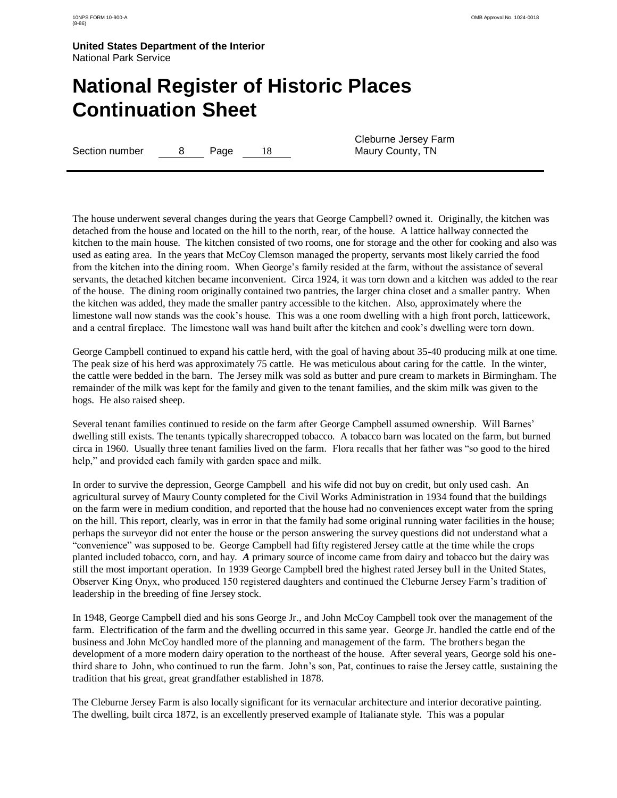# **National Register of Historic Places Continuation Sheet**

Section number 8 Page 18

Cleburne Jersey Farm Maury County, TN

The house underwent several changes during the years that George Campbell? owned it. Originally, the kitchen was detached from the house and located on the hill to the north, rear, of the house. A lattice hallway connected the kitchen to the main house. The kitchen consisted of two rooms, one for storage and the other for cooking and also was used as eating area. In the years that McCoy Clemson managed the property, servants most likely carried the food from the kitchen into the dining room. When George"s family resided at the farm, without the assistance of several servants, the detached kitchen became inconvenient. Circa 1924, it was torn down and a kitchen was added to the rear of the house. The dining room originally contained two pantries, the larger china closet and a smaller pantry. When the kitchen was added, they made the smaller pantry accessible to the kitchen. Also, approximately where the limestone wall now stands was the cook"s house. This was a one room dwelling with a high front porch, latticework, and a central fireplace. The limestone wall was hand built after the kitchen and cook"s dwelling were torn down.

George Campbell continued to expand his cattle herd, with the goal of having about 35-40 producing milk at one time. The peak size of his herd was approximately 75 cattle. He was meticulous about caring for the cattle. In the winter, the cattle were bedded in the barn. The Jersey milk was sold as butter and pure cream to markets in Birmingham. The remainder of the milk was kept for the family and given to the tenant families, and the skim milk was given to the hogs. He also raised sheep.

Several tenant families continued to reside on the farm after George Campbell assumed ownership. Will Barnes" dwelling still exists. The tenants typically sharecropped tobacco. A tobacco barn was located on the farm, but burned circa in 1960. Usually three tenant families lived on the farm. Flora recalls that her father was "so good to the hired help," and provided each family with garden space and milk.

In order to survive the depression, George Campbell and his wife did not buy on credit, but only used cash. An agricultural survey of Maury County completed for the Civil Works Administration in 1934 found that the buildings on the farm were in medium condition, and reported that the house had no conveniences except water from the spring on the hill. This report, clearly, was in error in that the family had some original running water facilities in the house; perhaps the surveyor did not enter the house or the person answering the survey questions did not understand what a "convenience" was supposed to be. George Campbell had fifty registered Jersey cattle at the time while the crops planted included tobacco, corn, and hay. *A* primary source of income came from dairy and tobacco but the dairy was still the most important operation. In 1939 George Campbell bred the highest rated Jersey bull in the United States, Observer King Onyx, who produced 150 registered daughters and continued the Cleburne Jersey Farm"s tradition of leadership in the breeding of fine Jersey stock.

In 1948, George Campbell died and his sons George Jr., and John McCoy Campbell took over the management of the farm. Electrification of the farm and the dwelling occurred in this same year. George Jr. handled the cattle end of the business and John McCoy handled more of the planning and management of the farm. The brothers began the development of a more modern dairy operation to the northeast of the house. After several years, George sold his onethird share to John, who continued to run the farm. John"s son, Pat, continues to raise the Jersey cattle, sustaining the tradition that his great, great grandfather established in 1878.

The Cleburne Jersey Farm is also locally significant for its vernacular architecture and interior decorative painting. The dwelling, built circa 1872, is an excellently preserved example of Italianate style. This was a popular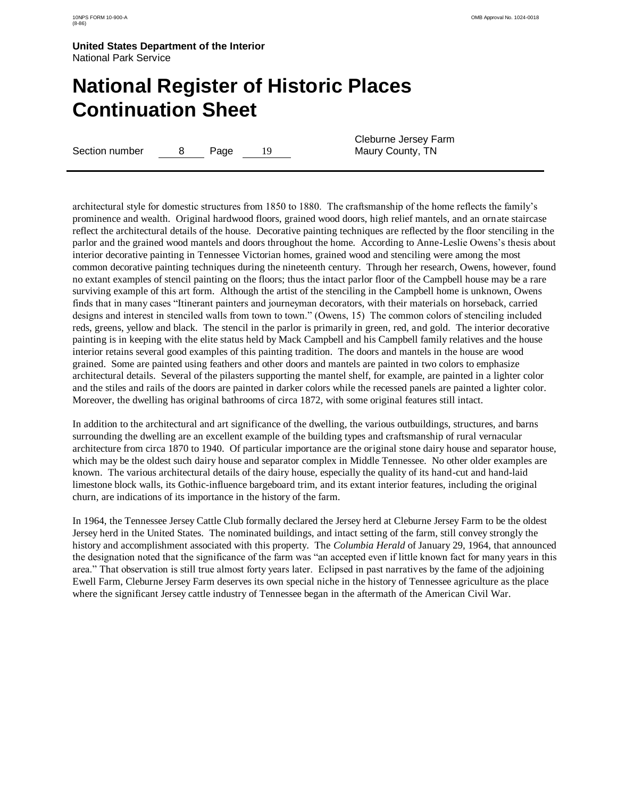# **National Register of Historic Places Continuation Sheet**

Section number 8 Page 19

Cleburne Jersey Farm Maury County, TN

architectural style for domestic structures from 1850 to 1880. The craftsmanship of the home reflects the family"s prominence and wealth. Original hardwood floors, grained wood doors, high relief mantels, and an ornate staircase reflect the architectural details of the house. Decorative painting techniques are reflected by the floor stenciling in the parlor and the grained wood mantels and doors throughout the home. According to Anne-Leslie Owens"s thesis about interior decorative painting in Tennessee Victorian homes, grained wood and stenciling were among the most common decorative painting techniques during the nineteenth century. Through her research, Owens, however, found no extant examples of stencil painting on the floors; thus the intact parlor floor of the Campbell house may be a rare surviving example of this art form. Although the artist of the stenciling in the Campbell home is unknown, Owens finds that in many cases "Itinerant painters and journeyman decorators, with their materials on horseback, carried designs and interest in stenciled walls from town to town." (Owens, 15) The common colors of stenciling included reds, greens, yellow and black. The stencil in the parlor is primarily in green, red, and gold. The interior decorative painting is in keeping with the elite status held by Mack Campbell and his Campbell family relatives and the house interior retains several good examples of this painting tradition. The doors and mantels in the house are wood grained. Some are painted using feathers and other doors and mantels are painted in two colors to emphasize architectural details. Several of the pilasters supporting the mantel shelf, for example, are painted in a lighter color and the stiles and rails of the doors are painted in darker colors while the recessed panels are painted a lighter color. Moreover, the dwelling has original bathrooms of circa 1872, with some original features still intact.

In addition to the architectural and art significance of the dwelling, the various outbuildings, structures, and barns surrounding the dwelling are an excellent example of the building types and craftsmanship of rural vernacular architecture from circa 1870 to 1940. Of particular importance are the original stone dairy house and separator house, which may be the oldest such dairy house and separator complex in Middle Tennessee. No other older examples are known. The various architectural details of the dairy house, especially the quality of its hand-cut and hand-laid limestone block walls, its Gothic-influence bargeboard trim, and its extant interior features, including the original churn, are indications of its importance in the history of the farm.

In 1964, the Tennessee Jersey Cattle Club formally declared the Jersey herd at Cleburne Jersey Farm to be the oldest Jersey herd in the United States. The nominated buildings, and intact setting of the farm, still convey strongly the history and accomplishment associated with this property. The *Columbia Herald* of January 29, 1964, that announced the designation noted that the significance of the farm was "an accepted even if little known fact for many years in this area." That observation is still true almost forty years later. Eclipsed in past narratives by the fame of the adjoining Ewell Farm, Cleburne Jersey Farm deserves its own special niche in the history of Tennessee agriculture as the place where the significant Jersey cattle industry of Tennessee began in the aftermath of the American Civil War.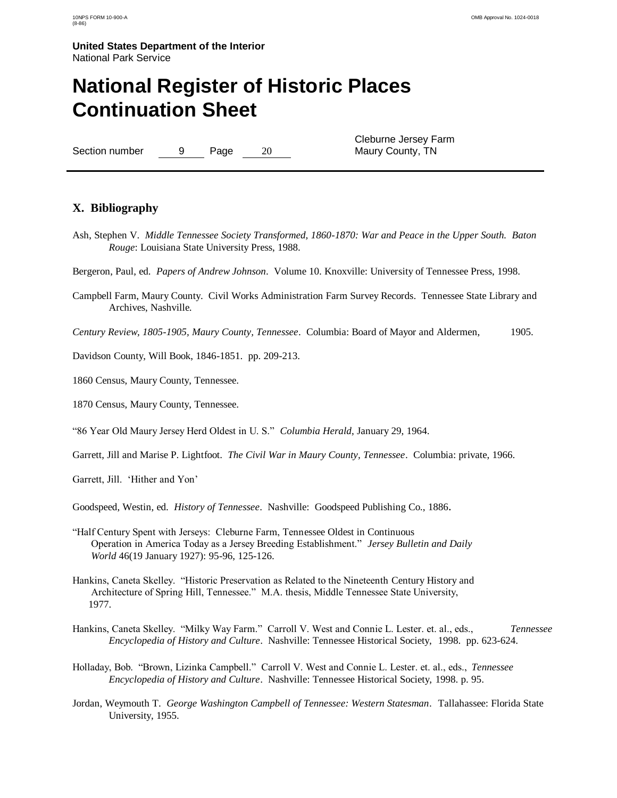## **National Register of Historic Places Continuation Sheet**

Section number 9 Page 20

Cleburne Jersey Farm Maury County, TN

### **X. Bibliography**

- Ash, Stephen V. *Middle Tennessee Society Transformed, 1860-1870: War and Peace in the Upper South. Baton Rouge*: Louisiana State University Press, 1988.
- Bergeron, Paul, ed. *Papers of Andrew Johnson*. Volume 10. Knoxville: University of Tennessee Press, 1998.
- Campbell Farm, Maury County. Civil Works Administration Farm Survey Records. Tennessee State Library and Archives, Nashville*.*

*Century Review, 1805-1905, Maury County, Tennessee*. Columbia: Board of Mayor and Aldermen, 1905.

Davidson County, Will Book, 1846-1851. pp. 209-213.

1860 Census, Maury County, Tennessee.

1870 Census, Maury County, Tennessee.

"86 Year Old Maury Jersey Herd Oldest in U. S." *Columbia Herald*, January 29, 1964.

Garrett, Jill and Marise P. Lightfoot. *The Civil War in Maury County, Tennessee*. Columbia: private, 1966.

Garrett, Jill. 'Hither and Yon'

Goodspeed, Westin, ed. *History of Tennessee*. Nashville: Goodspeed Publishing Co., 1886*.*

- "Half Century Spent with Jerseys: Cleburne Farm, Tennessee Oldest in Continuous Operation in America Today as a Jersey Breeding Establishment." *Jersey Bulletin and Daily World* 46(19 January 1927): 95-96, 125-126.
- Hankins, Caneta Skelley. "Historic Preservation as Related to the Nineteenth Century History and Architecture of Spring Hill, Tennessee." M.A. thesis, Middle Tennessee State University, 1977.
- Hankins, Caneta Skelley. "Milky Way Farm." Carroll V. West and Connie L. Lester. et. al., eds., *Tennessee Encyclopedia of History and Culture*. Nashville: Tennessee Historical Society, 1998. pp. 623-624.
- Holladay, Bob. "Brown, Lizinka Campbell." Carroll V. West and Connie L. Lester. et. al., eds., *Tennessee Encyclopedia of History and Culture*. Nashville: Tennessee Historical Society, 1998. p. 95.
- Jordan, Weymouth T. *George Washington Campbell of Tennessee: Western Statesman*. Tallahassee: Florida State University, 1955.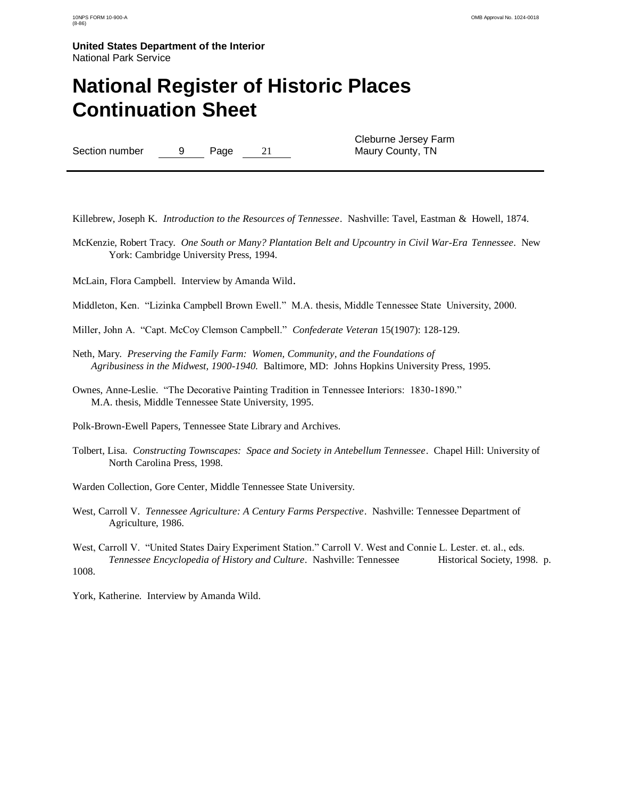### **National Register of Historic Places Continuation Sheet**

Section number 9 Page 21

Cleburne Jersey Farm Maury County, TN

Killebrew, Joseph K*. Introduction to the Resources of Tennessee*. Nashville: Tavel, Eastman & Howell, 1874.

- McKenzie, Robert Tracy. *One South or Many? Plantation Belt and Upcountry in Civil War-Era Tennessee*. New York: Cambridge University Press, 1994.
- McLain, Flora Campbell. Interview by Amanda Wild.
- Middleton, Ken. "Lizinka Campbell Brown Ewell." M.A. thesis, Middle Tennessee State University, 2000.
- Miller, John A. "Capt. McCoy Clemson Campbell." *Confederate Veteran* 15(1907): 128-129.
- Neth, Mary. *Preserving the Family Farm: Women, Community, and the Foundations of Agribusiness in the Midwest, 1900-1940.* Baltimore, MD: Johns Hopkins University Press, 1995.
- Ownes, Anne-Leslie. "The Decorative Painting Tradition in Tennessee Interiors: 1830-1890." M.A. thesis, Middle Tennessee State University, 1995.

Polk-Brown-Ewell Papers, Tennessee State Library and Archives.

- Tolbert, Lisa. *Constructing Townscapes: Space and Society in Antebellum Tennessee*. Chapel Hill: University of North Carolina Press, 1998.
- Warden Collection, Gore Center, Middle Tennessee State University.
- West, Carroll V. *Tennessee Agriculture: A Century Farms Perspective*. Nashville: Tennessee Department of Agriculture, 1986.

West, Carroll V. "United States Dairy Experiment Station." Carroll V. West and Connie L. Lester. et. al., eds. *Tennessee Encyclopedia of History and Culture*. Nashville: Tennessee Historical Society, 1998. p. 1008.

York, Katherine. Interview by Amanda Wild.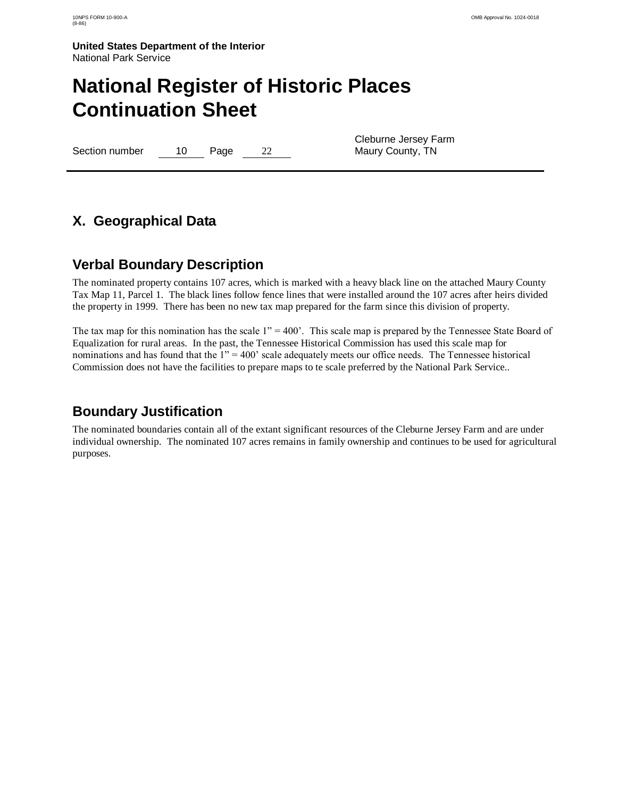# **National Register of Historic Places Continuation Sheet**

Section number 10 Page 22

Cleburne Jersey Farm Maury County, TN

### **X. Geographical Data**

### **Verbal Boundary Description**

The nominated property contains 107 acres, which is marked with a heavy black line on the attached Maury County Tax Map 11, Parcel 1. The black lines follow fence lines that were installed around the 107 acres after heirs divided the property in 1999. There has been no new tax map prepared for the farm since this division of property.

The tax map for this nomination has the scale  $1" = 400'$ . This scale map is prepared by the Tennessee State Board of Equalization for rural areas. In the past, the Tennessee Historical Commission has used this scale map for nominations and has found that the 1" = 400' scale adequately meets our office needs. The Tennessee historical Commission does not have the facilities to prepare maps to te scale preferred by the National Park Service..

### **Boundary Justification**

The nominated boundaries contain all of the extant significant resources of the Cleburne Jersey Farm and are under individual ownership. The nominated 107 acres remains in family ownership and continues to be used for agricultural purposes.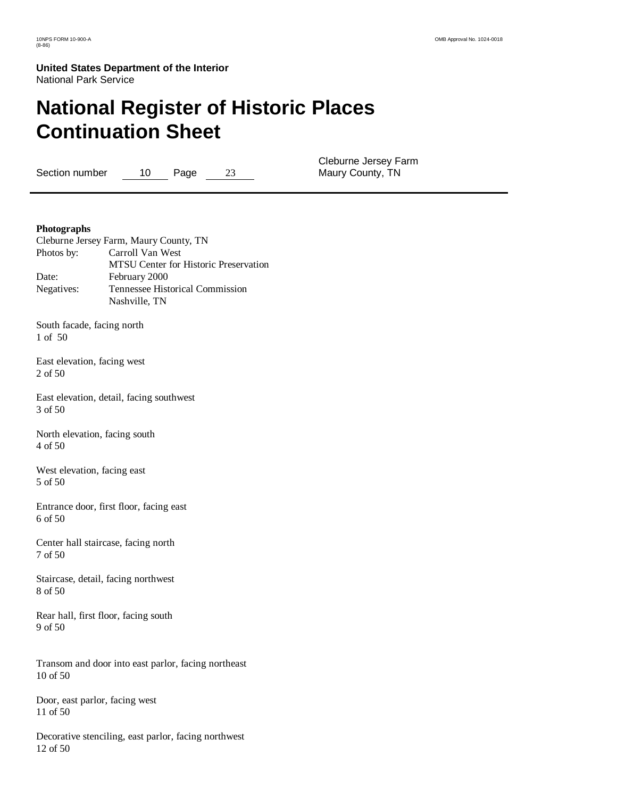# **National Register of Historic Places Continuation Sheet**

Section number 10 Page 23

Cleburne Jersey Farm Maury County, TN

#### **Photographs**

| Cleburne Jersey Farm, Maury County, TN |
|----------------------------------------|
| Carroll Van West                       |
| MTSU Center for Historic Preservation  |
| February 2000                          |
| Tennessee Historical Commission        |
| Nashville. TN                          |
|                                        |

South facade, facing north 1 of 50

East elevation, facing west 2 of 50

East elevation, detail, facing southwest 3 of 50

North elevation, facing south 4 of 50

West elevation, facing east 5 of 50

Entrance door, first floor, facing east 6 of 50

Center hall staircase, facing north 7 of 50

Staircase, detail, facing northwest 8 of 50

Rear hall, first floor, facing south 9 of 50

Transom and door into east parlor, facing northeast 10 of 50

Door, east parlor, facing west 11 of 50

Decorative stenciling, east parlor, facing northwest 12 of 50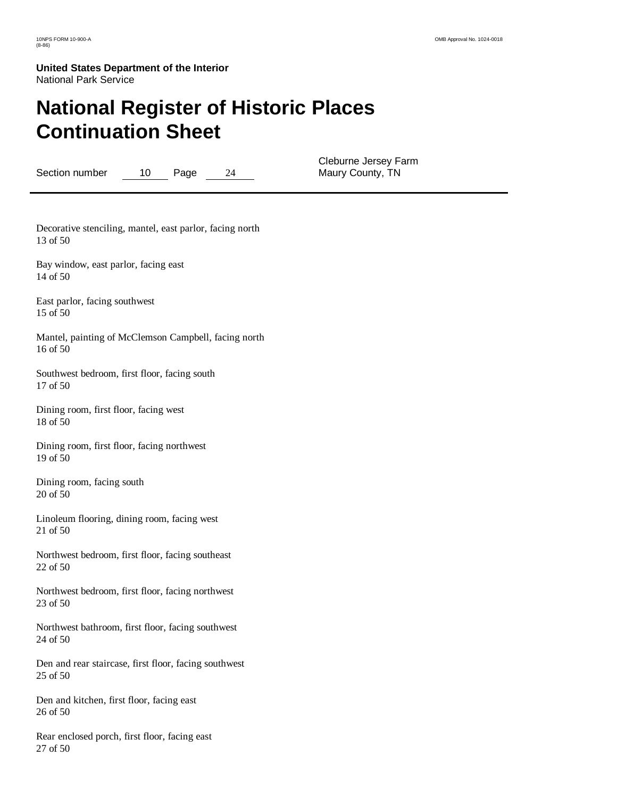# **National Register of Historic Places Continuation Sheet**

Section number 10 Page 24

Cleburne Jersey Farm Maury County, TN

Decorative stenciling, mantel, east parlor, facing north 13 of 50

Bay window, east parlor, facing east 14 of 50

East parlor, facing southwest 15 of 50

Mantel, painting of McClemson Campbell, facing north 16 of 50

Southwest bedroom, first floor, facing south 17 of 50

Dining room, first floor, facing west 18 of 50

Dining room, first floor, facing northwest 19 of 50

Dining room, facing south 20 of 50

Linoleum flooring, dining room, facing west 21 of 50

Northwest bedroom, first floor, facing southeast 22 of 50

Northwest bedroom, first floor, facing northwest 23 of 50

Northwest bathroom, first floor, facing southwest 24 of 50

Den and rear staircase, first floor, facing southwest 25 of 50

Den and kitchen, first floor, facing east 26 of 50

Rear enclosed porch, first floor, facing east 27 of 50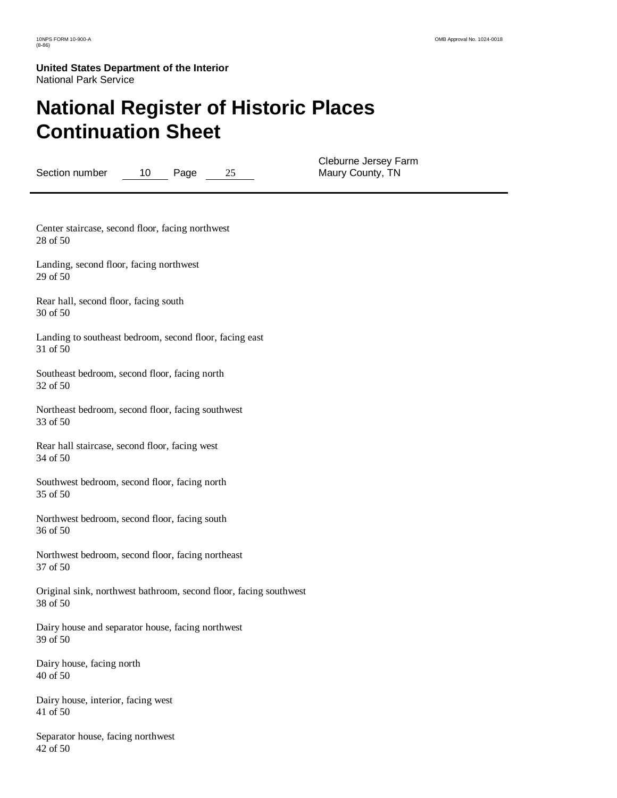# **National Register of Historic Places Continuation Sheet**

Section number 10 Page 25

Cleburne Jersey Farm Maury County, TN

Center staircase, second floor, facing northwest 28 of 50

Landing, second floor, facing northwest 29 of 50

Rear hall, second floor, facing south 30 of 50

Landing to southeast bedroom, second floor, facing east 31 of 50

Southeast bedroom, second floor, facing north 32 of 50

Northeast bedroom, second floor, facing southwest 33 of 50

Rear hall staircase, second floor, facing west 34 of 50

Southwest bedroom, second floor, facing north 35 of 50

Northwest bedroom, second floor, facing south 36 of 50

Northwest bedroom, second floor, facing northeast 37 of 50

Original sink, northwest bathroom, second floor, facing southwest 38 of 50

Dairy house and separator house, facing northwest 39 of 50

Dairy house, facing north 40 of 50

Dairy house, interior, facing west 41 of 50

Separator house, facing northwest 42 of 50